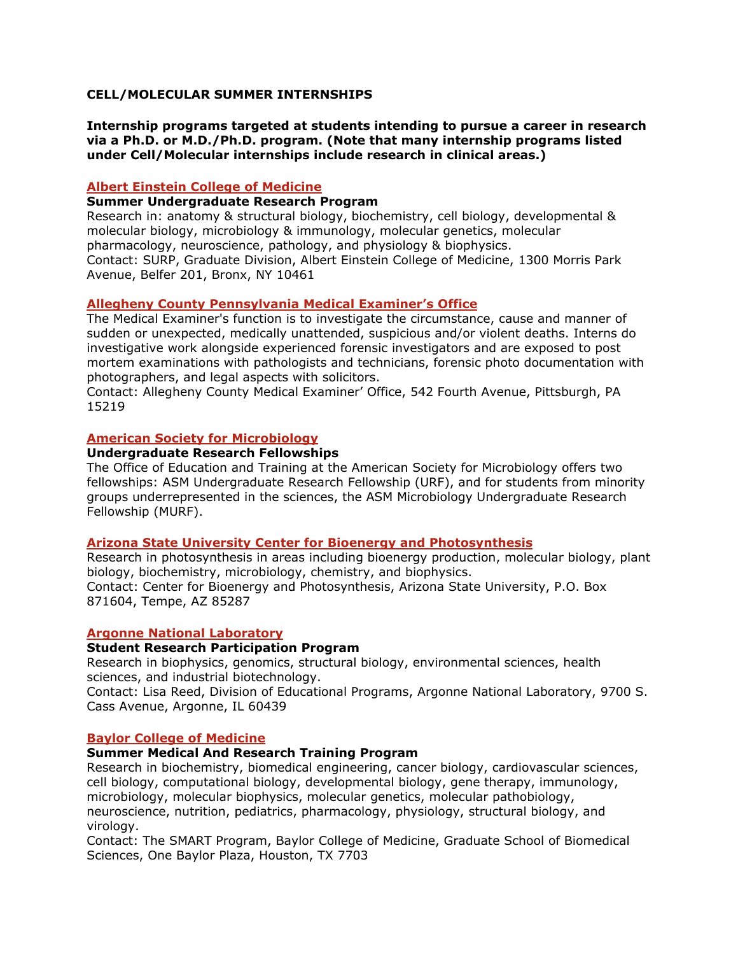## **CELL/MOLECULAR SUMMER INTERNSHIPS**

**Internship programs targeted at students intending to pursue a career in research via a Ph.D. or M.D./Ph.D. program. (Note that many internship programs listed under Cell/Molecular internships include research in clinical areas.)** 

### **Albert Einstein College of Medicine**

### **Summer Undergraduate Research Program**

Research in: anatomy & structural biology, biochemistry, cell biology, developmental & molecular biology, microbiology & immunology, molecular genetics, molecular pharmacology, neuroscience, pathology, and physiology & biophysics. Contact: SURP, Graduate Division, Albert Einstein College of Medicine, 1300 Morris Park Avenue, Belfer 201, Bronx, NY 10461

## **Allegheny County Pennsylvania Medical Examiner's Office**

The Medical Examiner's function is to investigate the circumstance, cause and manner of sudden or unexpected, medically unattended, suspicious and/or violent deaths. Interns do investigative work alongside experienced forensic investigators and are exposed to post mortem examinations with pathologists and technicians, forensic photo documentation with photographers, and legal aspects with solicitors.

Contact: Allegheny County Medical Examiner' Office, 542 Fourth Avenue, Pittsburgh, PA 15219

## **American Society for Microbiology**

#### **Undergraduate Research Fellowships**

The Office of Education and Training at the American Society for Microbiology offers two fellowships: ASM Undergraduate Research Fellowship (URF), and for students from minority groups underrepresented in the sciences, the ASM Microbiology Undergraduate Research Fellowship (MURF).

### **Arizona State University Center for Bioenergy and Photosynthesis**

Research in photosynthesis in areas including bioenergy production, molecular biology, plant biology, biochemistry, microbiology, chemistry, and biophysics. Contact: Center for Bioenergy and Photosynthesis, Arizona State University, P.O. Box 871604, Tempe, AZ 85287

## **Argonne National Laboratory**

#### **Student Research Participation Program**

Research in biophysics, genomics, structural biology, environmental sciences, health sciences, and industrial biotechnology.

Contact: Lisa Reed, Division of Educational Programs, Argonne National Laboratory, 9700 S. Cass Avenue, Argonne, IL 60439

#### **Baylor College of Medicine**

## **Summer Medical And Research Training Program**

Research in biochemistry, biomedical engineering, cancer biology, cardiovascular sciences, cell biology, computational biology, developmental biology, gene therapy, immunology, microbiology, molecular biophysics, molecular genetics, molecular pathobiology, neuroscience, nutrition, pediatrics, pharmacology, physiology, structural biology, and virology.

Contact: The SMART Program, Baylor College of Medicine, Graduate School of Biomedical Sciences, One Baylor Plaza, Houston, TX 7703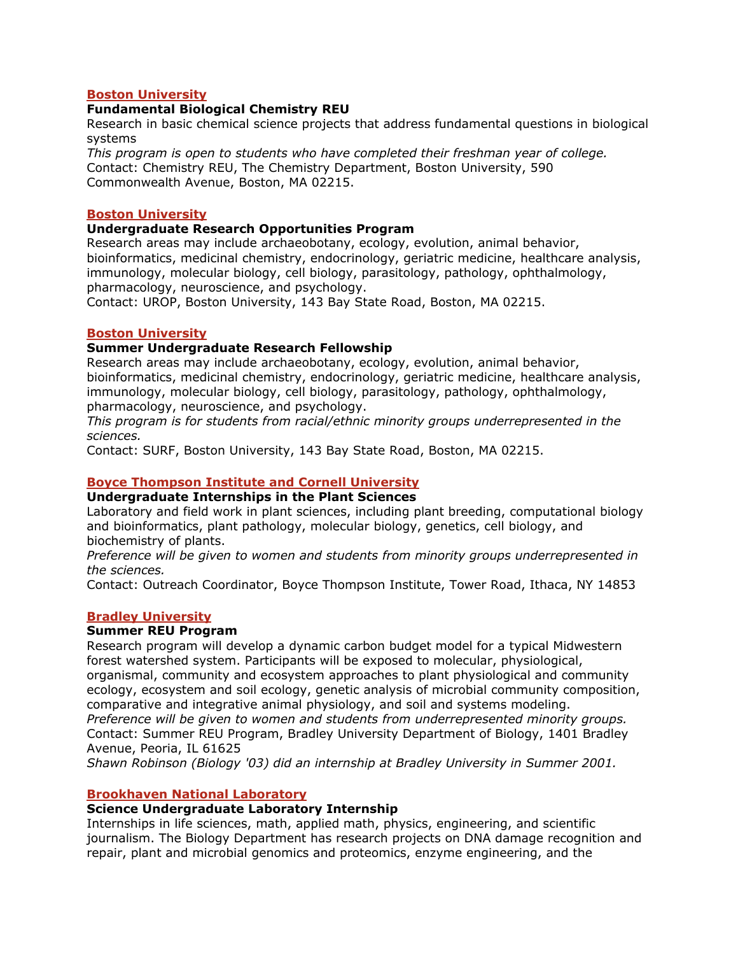### **Boston University**

### **Fundamental Biological Chemistry REU**

Research in basic chemical science projects that address fundamental questions in biological systems

*This program is open to students who have completed their freshman year of college.*  Contact: Chemistry REU, The Chemistry Department, Boston University, 590 Commonwealth Avenue, Boston, MA 02215.

#### **Boston University**

### **Undergraduate Research Opportunities Program**

Research areas may include archaeobotany, ecology, evolution, animal behavior, bioinformatics, medicinal chemistry, endocrinology, geriatric medicine, healthcare analysis, immunology, molecular biology, cell biology, parasitology, pathology, ophthalmology, pharmacology, neuroscience, and psychology.

Contact: UROP, Boston University, 143 Bay State Road, Boston, MA 02215.

### **Boston University**

### **Summer Undergraduate Research Fellowship**

Research areas may include archaeobotany, ecology, evolution, animal behavior, bioinformatics, medicinal chemistry, endocrinology, geriatric medicine, healthcare analysis, immunology, molecular biology, cell biology, parasitology, pathology, ophthalmology, pharmacology, neuroscience, and psychology.

*This program is for students from racial/ethnic minority groups underrepresented in the sciences.*

Contact: SURF, Boston University, 143 Bay State Road, Boston, MA 02215.

# **Boyce Thompson Institute and Cornell University**

## **Undergraduate Internships in the Plant Sciences**

Laboratory and field work in plant sciences, including plant breeding, computational biology and bioinformatics, plant pathology, molecular biology, genetics, cell biology, and biochemistry of plants.

*Preference will be given to women and students from minority groups underrepresented in the sciences.*

Contact: Outreach Coordinator, Boyce Thompson Institute, Tower Road, Ithaca, NY 14853

## **Bradley University**

#### **Summer REU Program**

Research program will develop a dynamic carbon budget model for a typical Midwestern forest watershed system. Participants will be exposed to molecular, physiological, organismal, community and ecosystem approaches to plant physiological and community ecology, ecosystem and soil ecology, genetic analysis of microbial community composition, comparative and integrative animal physiology, and soil and systems modeling.

*Preference will be given to women and students from underrepresented minority groups.* Contact: Summer REU Program, Bradley University Department of Biology, 1401 Bradley Avenue, Peoria, IL 61625

*Shawn Robinson (Biology '03) did an internship at Bradley University in Summer 2001.*

#### **Brookhaven National Laboratory**

### **Science Undergraduate Laboratory Internship**

Internships in life sciences, math, applied math, physics, engineering, and scientific journalism. The Biology Department has research projects on DNA damage recognition and repair, plant and microbial genomics and proteomics, enzyme engineering, and the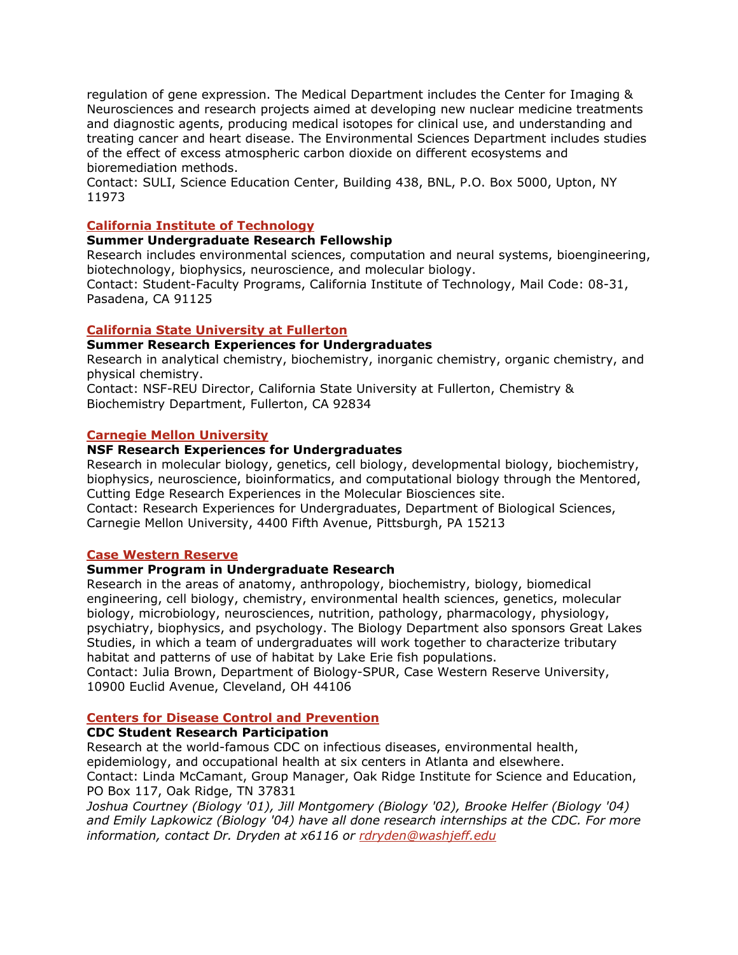regulation of gene expression. The Medical Department includes the Center for Imaging & Neurosciences and research projects aimed at developing new nuclear medicine treatments and diagnostic agents, producing medical isotopes for clinical use, and understanding and treating cancer and heart disease. The Environmental Sciences Department includes studies of the effect of excess atmospheric carbon dioxide on different ecosystems and bioremediation methods.

Contact: SULI, Science Education Center, Building 438, BNL, P.O. Box 5000, Upton, NY 11973

# **California Institute of Technology**

## **Summer Undergraduate Research Fellowship**

Research includes environmental sciences, computation and neural systems, bioengineering, biotechnology, biophysics, neuroscience, and molecular biology.

Contact: Student-Faculty Programs, California Institute of Technology, Mail Code: 08-31, Pasadena, CA 91125

## **California State University at Fullerton**

## **Summer Research Experiences for Undergraduates**

Research in analytical chemistry, biochemistry, inorganic chemistry, organic chemistry, and physical chemistry.

Contact: NSF-REU Director, California State University at Fullerton, Chemistry & Biochemistry Department, Fullerton, CA 92834

## **Carnegie Mellon University**

### **NSF Research Experiences for Undergraduates**

Research in molecular biology, genetics, cell biology, developmental biology, biochemistry, biophysics, neuroscience, bioinformatics, and computational biology through the Mentored, Cutting Edge Research Experiences in the Molecular Biosciences site. Contact: Research Experiences for Undergraduates, Department of Biological Sciences, Carnegie Mellon University, 4400 Fifth Avenue, Pittsburgh, PA 15213

# **Case Western Reserve**

## **Summer Program in Undergraduate Research**

Research in the areas of anatomy, anthropology, biochemistry, biology, biomedical engineering, cell biology, chemistry, environmental health sciences, genetics, molecular biology, microbiology, neurosciences, nutrition, pathology, pharmacology, physiology, psychiatry, biophysics, and psychology. The Biology Department also sponsors Great Lakes Studies, in which a team of undergraduates will work together to characterize tributary habitat and patterns of use of habitat by Lake Erie fish populations.

Contact: Julia Brown, Department of Biology-SPUR, Case Western Reserve University, 10900 Euclid Avenue, Cleveland, OH 44106

## **Centers for Disease Control and Prevention**

## **CDC Student Research Participation**

Research at the world-famous CDC on infectious diseases, environmental health, epidemiology, and occupational health at six centers in Atlanta and elsewhere. Contact: Linda McCamant, Group Manager, Oak Ridge Institute for Science and Education, PO Box 117, Oak Ridge, TN 37831

*Joshua Courtney (Biology '01), Jill Montgomery (Biology '02), Brooke Helfer (Biology '04) and Emily Lapkowicz (Biology '04) have all done research internships at the CDC. For more information, contact Dr. Dryden at x6116 or rdryden@washjeff.edu*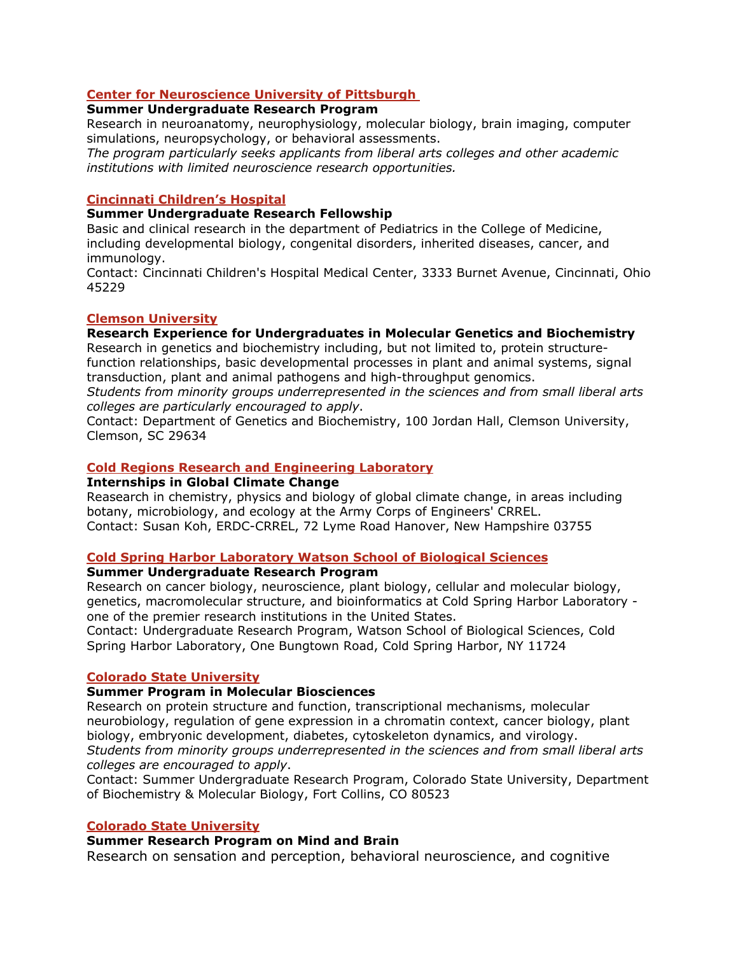# **Center for Neuroscience University of Pittsburgh**

# **Summer Undergraduate Research Program**

Research in neuroanatomy, neurophysiology, molecular biology, brain imaging, computer simulations, neuropsychology, or behavioral assessments.

*The program particularly seeks applicants from liberal arts colleges and other academic institutions with limited neuroscience research opportunities.*

## **Cincinnati Children's Hospital**

#### **Summer Undergraduate Research Fellowship**

Basic and clinical research in the department of Pediatrics in the College of Medicine, including developmental biology, congenital disorders, inherited diseases, cancer, and immunology.

Contact: Cincinnati Children's Hospital Medical Center, 3333 Burnet Avenue, Cincinnati, Ohio 45229

## **Clemson University**

### **Research Experience for Undergraduates in Molecular Genetics and Biochemistry**

Research in genetics and biochemistry including, but not limited to, protein structurefunction relationships, basic developmental processes in plant and animal systems, signal transduction, plant and animal pathogens and high-throughput genomics.

*Students from minority groups underrepresented in the sciences and from small liberal arts colleges are particularly encouraged to apply*.

Contact: Department of Genetics and Biochemistry, 100 Jordan Hall, Clemson University, Clemson, SC 29634

### **Cold Regions Research and Engineering Laboratory**

#### **Internships in Global Climate Change**

Reasearch in chemistry, physics and biology of global climate change, in areas including botany, microbiology, and ecology at the Army Corps of Engineers' CRREL. Contact: Susan Koh, ERDC-CRREL, 72 Lyme Road Hanover, New Hampshire 03755

## **Cold Spring Harbor Laboratory Watson School of Biological Sciences**

#### **Summer Undergraduate Research Program**

Research on cancer biology, neuroscience, plant biology, cellular and molecular biology, genetics, macromolecular structure, and bioinformatics at Cold Spring Harbor Laboratory one of the premier research institutions in the United States.

Contact: Undergraduate Research Program, Watson School of Biological Sciences, Cold Spring Harbor Laboratory, One Bungtown Road, Cold Spring Harbor, NY 11724

#### **Colorado State University**

#### **Summer Program in Molecular Biosciences**

Research on protein structure and function, transcriptional mechanisms, molecular neurobiology, regulation of gene expression in a chromatin context, cancer biology, plant biology, embryonic development, diabetes, cytoskeleton dynamics, and virology. *Students from minority groups underrepresented in the sciences and from small liberal arts colleges are encouraged to apply*.

Contact: Summer Undergraduate Research Program, Colorado State University, Department of Biochemistry & Molecular Biology, Fort Collins, CO 80523

#### **Colorado State University**

## **Summer Research Program on Mind and Brain**

Research on sensation and perception, behavioral neuroscience, and cognitive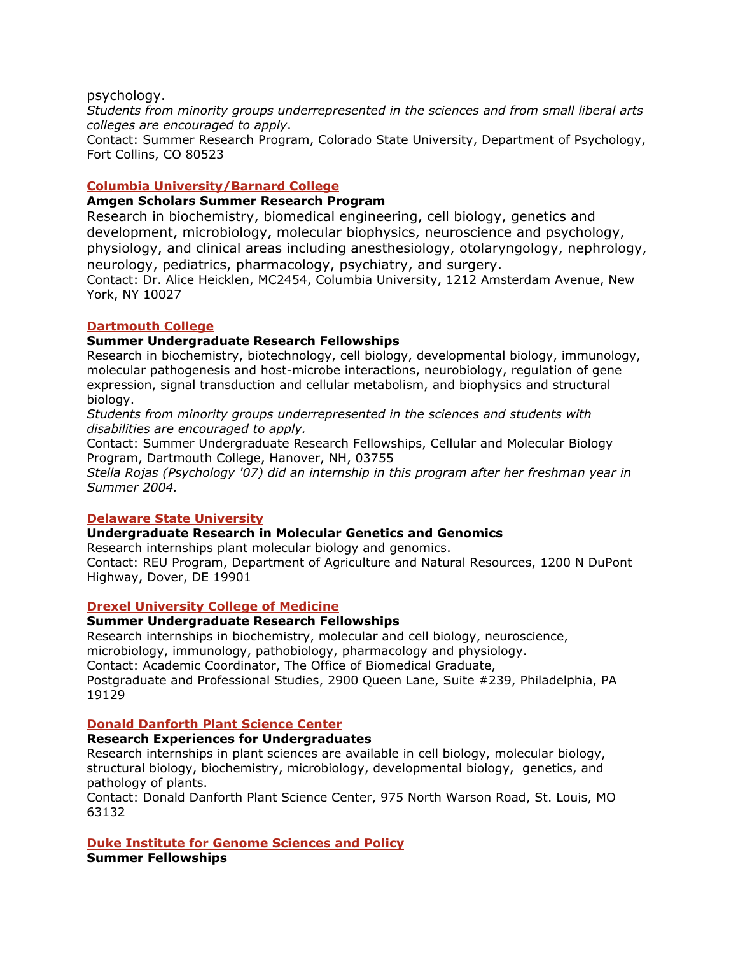psychology.

*Students from minority groups underrepresented in the sciences and from small liberal arts colleges are encouraged to apply*.

Contact: Summer Research Program, Colorado State University, Department of Psychology, Fort Collins, CO 80523

### **Columbia University/Barnard College**

### **Amgen Scholars Summer Research Program**

Research in biochemistry, biomedical engineering, cell biology, genetics and development, microbiology, molecular biophysics, neuroscience and psychology, physiology, and clinical areas including anesthesiology, otolaryngology, nephrology, neurology, pediatrics, pharmacology, psychiatry, and surgery.

Contact: Dr. Alice Heicklen, MC2454, Columbia University, 1212 Amsterdam Avenue, New York, NY 10027

#### **Dartmouth College**

#### **Summer Undergraduate Research Fellowships**

Research in biochemistry, biotechnology, cell biology, developmental biology, immunology, molecular pathogenesis and host-microbe interactions, neurobiology, regulation of gene expression, signal transduction and cellular metabolism, and biophysics and structural biology.

*Students from minority groups underrepresented in the sciences and students with disabilities are encouraged to apply.*

Contact: Summer Undergraduate Research Fellowships, Cellular and Molecular Biology Program, Dartmouth College, Hanover, NH, 03755

*Stella Rojas (Psychology '07) did an internship in this program after her freshman year in Summer 2004.*

#### **Delaware State University**

## **Undergraduate Research in Molecular Genetics and Genomics**

Research internships plant molecular biology and genomics.

Contact: REU Program, Department of Agriculture and Natural Resources, 1200 N DuPont Highway, Dover, DE 19901

#### **Drexel University College of Medicine**

#### **Summer Undergraduate Research Fellowships**

Research internships in biochemistry, molecular and cell biology, neuroscience, microbiology, immunology, pathobiology, pharmacology and physiology. Contact: Academic Coordinator, The Office of Biomedical Graduate, Postgraduate and Professional Studies, 2900 Queen Lane, Suite #239, Philadelphia, PA 19129

### **Donald Danforth Plant Science Center**

#### **Research Experiences for Undergraduates**

Research internships in plant sciences are available in cell biology, molecular biology, structural biology, biochemistry, microbiology, developmental biology, genetics, and pathology of plants.

Contact: Donald Danforth Plant Science Center, 975 North Warson Road, St. Louis, MO 63132

#### **Duke Institute for Genome Sciences and Policy**

**Summer Fellowships**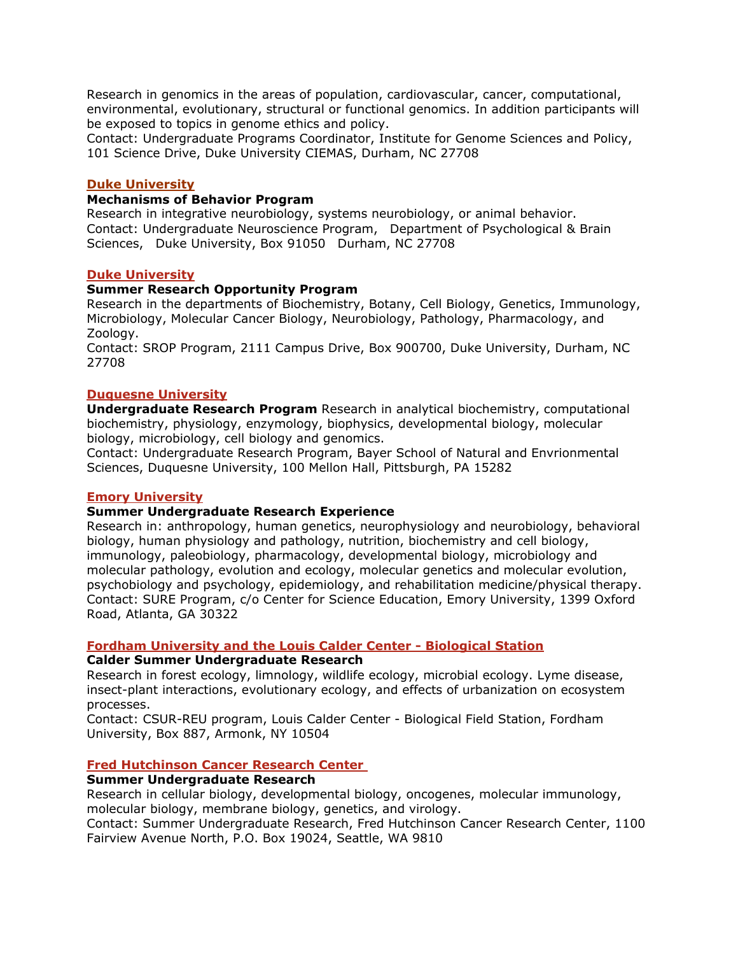Research in genomics in the areas of population, cardiovascular, cancer, computational, environmental, evolutionary, structural or functional genomics. In addition participants will be exposed to topics in genome ethics and policy.

Contact: Undergraduate Programs Coordinator, Institute for Genome Sciences and Policy, 101 Science Drive, Duke University CIEMAS, Durham, NC 27708

#### **Duke University**

## **Mechanisms of Behavior Program**

Research in integrative neurobiology, systems neurobiology, or animal behavior. Contact: Undergraduate Neuroscience Program,Department of Psychological & Brain Sciences, Duke University, Box 91050 Durham, NC 27708

### **Duke University**

### **Summer Research Opportunity Program**

Research in the departments of Biochemistry, Botany, Cell Biology, Genetics, Immunology, Microbiology, Molecular Cancer Biology, Neurobiology, Pathology, Pharmacology, and Zoology.

Contact: SROP Program, 2111 Campus Drive, Box 900700, Duke University, Durham, NC 27708

### **Duquesne University**

**Undergraduate Research Program** Research in analytical biochemistry, computational biochemistry, physiology, enzymology, biophysics, developmental biology, molecular biology, microbiology, cell biology and genomics.

Contact: Undergraduate Research Program, Bayer School of Natural and Envrionmental Sciences, Duquesne University, 100 Mellon Hall, Pittsburgh, PA 15282

## **Emory University**

## **Summer Undergraduate Research Experience**

Research in: anthropology, human genetics, neurophysiology and neurobiology, behavioral biology, human physiology and pathology, nutrition, biochemistry and cell biology, immunology, paleobiology, pharmacology, developmental biology, microbiology and molecular pathology, evolution and ecology, molecular genetics and molecular evolution, psychobiology and psychology, epidemiology, and rehabilitation medicine/physical therapy. Contact: SURE Program, c/o Center for Science Education, Emory University, 1399 Oxford Road, Atlanta, GA 30322

#### **Fordham University and the Louis Calder Center - Biological Station**

#### **Calder Summer Undergraduate Research**

Research in forest ecology, limnology, wildlife ecology, microbial ecology. Lyme disease, insect-plant interactions, evolutionary ecology, and effects of urbanization on ecosystem processes.

Contact: CSUR-REU program, Louis Calder Center - Biological Field Station, Fordham University, Box 887, Armonk, NY 10504

#### **Fred Hutchinson Cancer Research Center**

#### **Summer Undergraduate Research**

Research in cellular biology, developmental biology, oncogenes, molecular immunology, molecular biology, membrane biology, genetics, and virology.

Contact: Summer Undergraduate Research, Fred Hutchinson Cancer Research Center, 1100 Fairview Avenue North, P.O. Box 19024, Seattle, WA 9810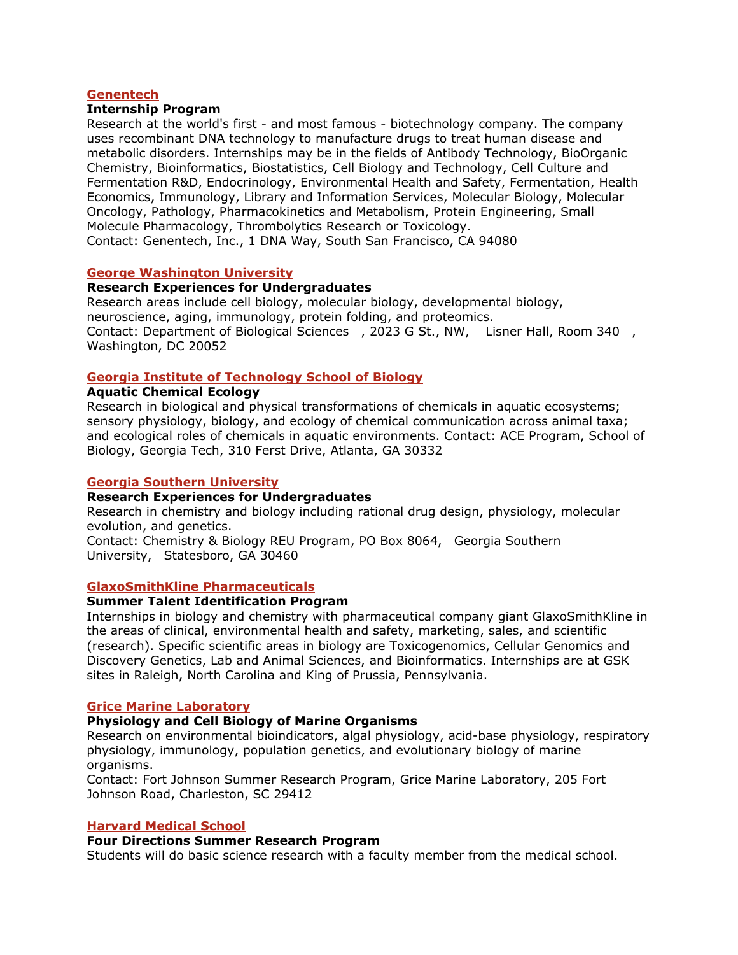### **Genentech**

### **Internship Program**

Research at the world's first - and most famous - biotechnology company. The company uses recombinant DNA technology to manufacture drugs to treat human disease and metabolic disorders. Internships may be in the fields of Antibody Technology, BioOrganic Chemistry, Bioinformatics, Biostatistics, Cell Biology and Technology, Cell Culture and Fermentation R&D, Endocrinology, Environmental Health and Safety, Fermentation, Health Economics, Immunology, Library and Information Services, Molecular Biology, Molecular Oncology, Pathology, Pharmacokinetics and Metabolism, Protein Engineering, Small Molecule Pharmacology, Thrombolytics Research or Toxicology. Contact: Genentech, Inc., 1 DNA Way, South San Francisco, CA 94080

### **George Washington University**

### **Research Experiences for Undergraduates**

Research areas include cell biology, molecular biology, developmental biology, neuroscience, aging, immunology, protein folding, and proteomics. Contact: Department of Biological Sciences, 2023 G St., NW, Lisner Hall, Room 340, Washington, DC 20052

# **Georgia Institute of Technology School of Biology**

### **Aquatic Chemical Ecology**

Research in biological and physical transformations of chemicals in aquatic ecosystems; sensory physiology, biology, and ecology of chemical communication across animal taxa; and ecological roles of chemicals in aquatic environments. Contact: ACE Program, School of Biology, Georgia Tech, 310 Ferst Drive, Atlanta, GA 30332

### **Georgia Southern University**

### **Research Experiences for Undergraduates**

Research in chemistry and biology including rational drug design, physiology, molecular evolution, and genetics.

Contact: Chemistry & Biology REU Program, PO Box 8064, Georgia Southern University, Statesboro, GA 30460

#### **GlaxoSmithKline Pharmaceuticals**

#### **Summer Talent Identification Program**

Internships in biology and chemistry with pharmaceutical company giant GlaxoSmithKline in the areas of clinical, environmental health and safety, marketing, sales, and scientific (research). Specific scientific areas in biology are Toxicogenomics, Cellular Genomics and Discovery Genetics, Lab and Animal Sciences, and Bioinformatics. Internships are at GSK sites in Raleigh, North Carolina and King of Prussia, Pennsylvania.

#### **Grice Marine Laboratory**

## **Physiology and Cell Biology of Marine Organisms**

Research on environmental bioindicators, algal physiology, acid-base physiology, respiratory physiology, immunology, population genetics, and evolutionary biology of marine organisms.

Contact: Fort Johnson Summer Research Program, Grice Marine Laboratory, 205 Fort Johnson Road, Charleston, SC 29412

#### **Harvard Medical School**

## **Four Directions Summer Research Program**

Students will do basic science research with a faculty member from the medical school.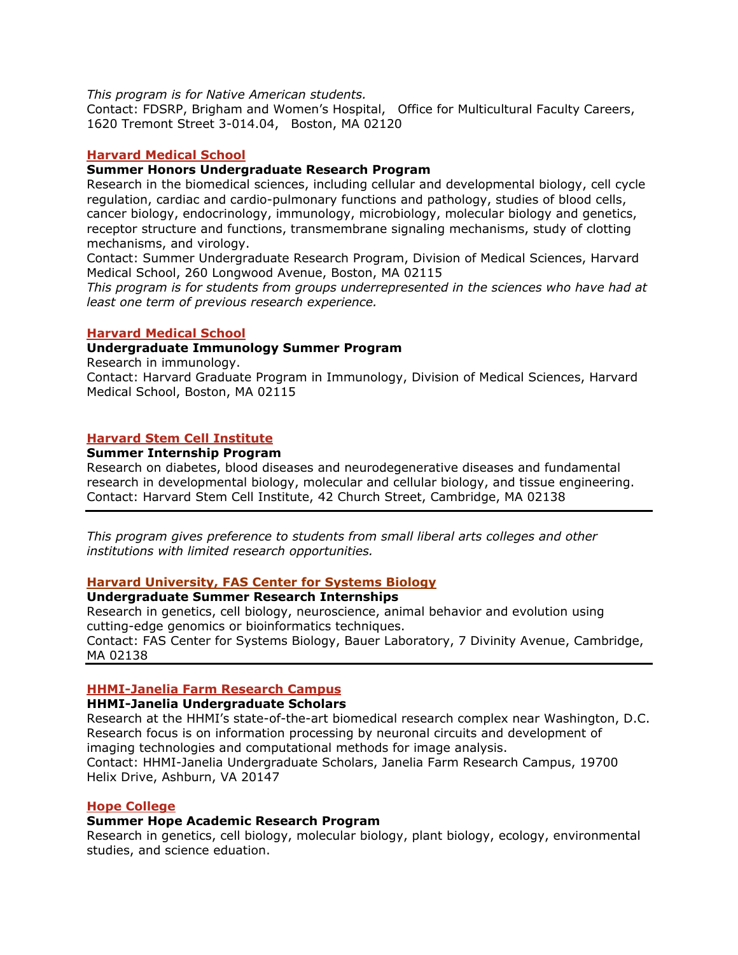*This program is for Native American students.* 

Contact: FDSRP, Brigham and Women's Hospital, Office for Multicultural Faculty Careers, 1620 Tremont Street 3-014.04, Boston, MA 02120

#### **Harvard Medical School**

#### **Summer Honors Undergraduate Research Program**

Research in the biomedical sciences, including cellular and developmental biology, cell cycle regulation, cardiac and cardio-pulmonary functions and pathology, studies of blood cells, cancer biology, endocrinology, immunology, microbiology, molecular biology and genetics, receptor structure and functions, transmembrane signaling mechanisms, study of clotting mechanisms, and virology.

Contact: Summer Undergraduate Research Program, Division of Medical Sciences, Harvard Medical School, 260 Longwood Avenue, Boston, MA 02115

*This program is for students from groups underrepresented in the sciences who have had at least one term of previous research experience.*

#### **Harvard Medical School**

#### **Undergraduate Immunology Summer Program**

Research in immunology.

Contact: Harvard Graduate Program in Immunology, Division of Medical Sciences, Harvard Medical School, Boston, MA 02115

# **Harvard Stem Cell Institute**

#### **Summer Internship Program**

Research on diabetes, blood diseases and neurodegenerative diseases and fundamental research in developmental biology, molecular and cellular biology, and tissue engineering. Contact: Harvard Stem Cell Institute, 42 Church Street, Cambridge, MA 02138

*This program gives preference to students from small liberal arts colleges and other institutions with limited research opportunities.*

### **Harvard University, FAS Center for Systems Biology**

#### **Undergraduate Summer Research Internships**

Research in genetics, cell biology, neuroscience, animal behavior and evolution using cutting-edge genomics or bioinformatics techniques. Contact: FAS Center for Systems Biology, Bauer Laboratory, 7 Divinity Avenue, Cambridge,

MA 02138

## **HHMI-Janelia Farm Research Campus**

#### **HHMI-Janelia Undergraduate Scholars**

Research at the HHMI's state-of-the-art biomedical research complex near Washington, D.C. Research focus is on information processing by neuronal circuits and development of imaging technologies and computational methods for image analysis.

Contact: HHMI-Janelia Undergraduate Scholars, Janelia Farm Research Campus, 19700 Helix Drive, Ashburn, VA 20147

### **Hope College**

#### **Summer Hope Academic Research Program**

Research in genetics, cell biology, molecular biology, plant biology, ecology, environmental studies, and science eduation.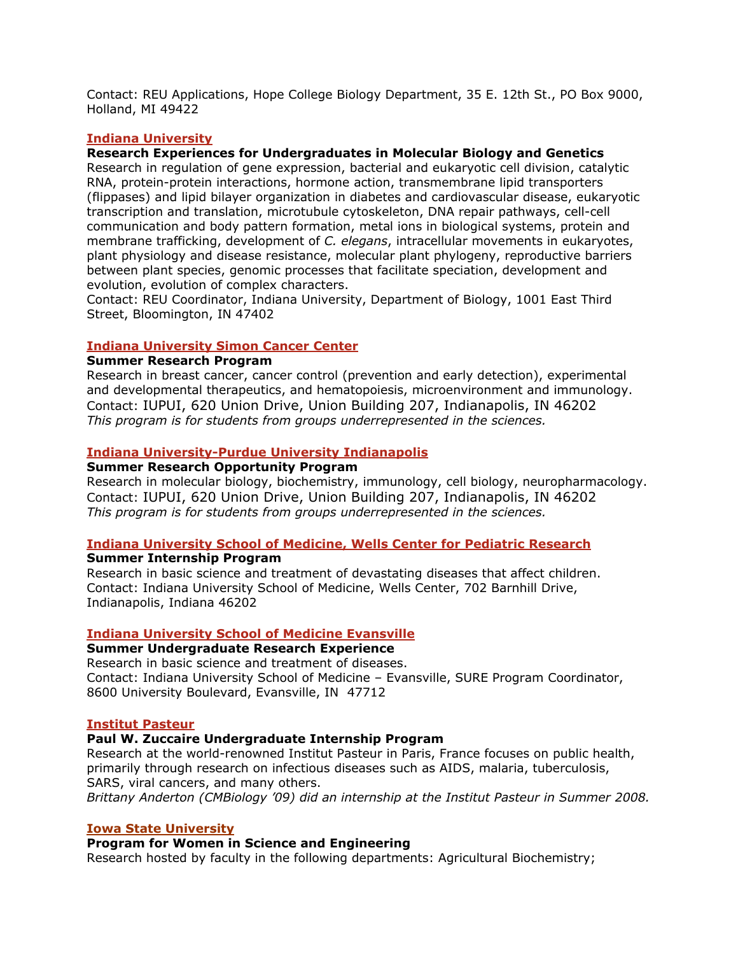Contact: REU Applications, Hope College Biology Department, 35 E. 12th St., PO Box 9000, Holland, MI 49422

### **Indiana University**

## **Research Experiences for Undergraduates in Molecular Biology and Genetics**

Research in regulation of gene expression, bacterial and eukaryotic cell division, catalytic RNA, protein-protein interactions, hormone action, transmembrane lipid transporters (flippases) and lipid bilayer organization in diabetes and cardiovascular disease, eukaryotic transcription and translation, microtubule cytoskeleton, DNA repair pathways, cell-cell communication and body pattern formation, metal ions in biological systems, protein and membrane trafficking, development of *C. elegans*, intracellular movements in eukaryotes, plant physiology and disease resistance, molecular plant phylogeny, reproductive barriers between plant species, genomic processes that facilitate speciation, development and evolution, evolution of complex characters.

Contact: REU Coordinator, Indiana University, Department of Biology, 1001 East Third Street, Bloomington, IN 47402

#### **Indiana University Simon Cancer Center**

#### **Summer Research Program**

Research in breast cancer, cancer control (prevention and early detection), experimental and developmental therapeutics, and hematopoiesis, microenvironment and immunology. Contact: IUPUI, 620 Union Drive, Union Building 207, Indianapolis, IN 46202 *This program is for students from groups underrepresented in the sciences.*

#### **Indiana University-Purdue University Indianapolis**

# **Summer Research Opportunity Program**

Research in molecular biology, biochemistry, immunology, cell biology, neuropharmacology. Contact: IUPUI, 620 Union Drive, Union Building 207, Indianapolis, IN 46202 *This program is for students from groups underrepresented in the sciences.*

#### **Indiana University School of Medicine, Wells Center for Pediatric Research Summer Internship Program**

Research in basic science and treatment of devastating diseases that affect children. Contact: Indiana University School of Medicine, Wells Center, 702 Barnhill Drive, Indianapolis, Indiana 46202

#### **Indiana University School of Medicine Evansville**

# **Summer Undergraduate Research Experience**

Research in basic science and treatment of diseases. Contact: Indiana University School of Medicine – Evansville, SURE Program Coordinator, 8600 University Boulevard, Evansville, IN 47712

#### **Institut Pasteur**

#### **Paul W. Zuccaire Undergraduate Internship Program**

Research at the world-renowned Institut Pasteur in Paris, France focuses on public health, primarily through research on infectious diseases such as AIDS, malaria, tuberculosis, SARS, viral cancers, and many others.

*Brittany Anderton (CMBiology '09) did an internship at the Institut Pasteur in Summer 2008.* 

#### **Iowa State University**

#### **Program for Women in Science and Engineering**

Research hosted by faculty in the following departments: Agricultural Biochemistry;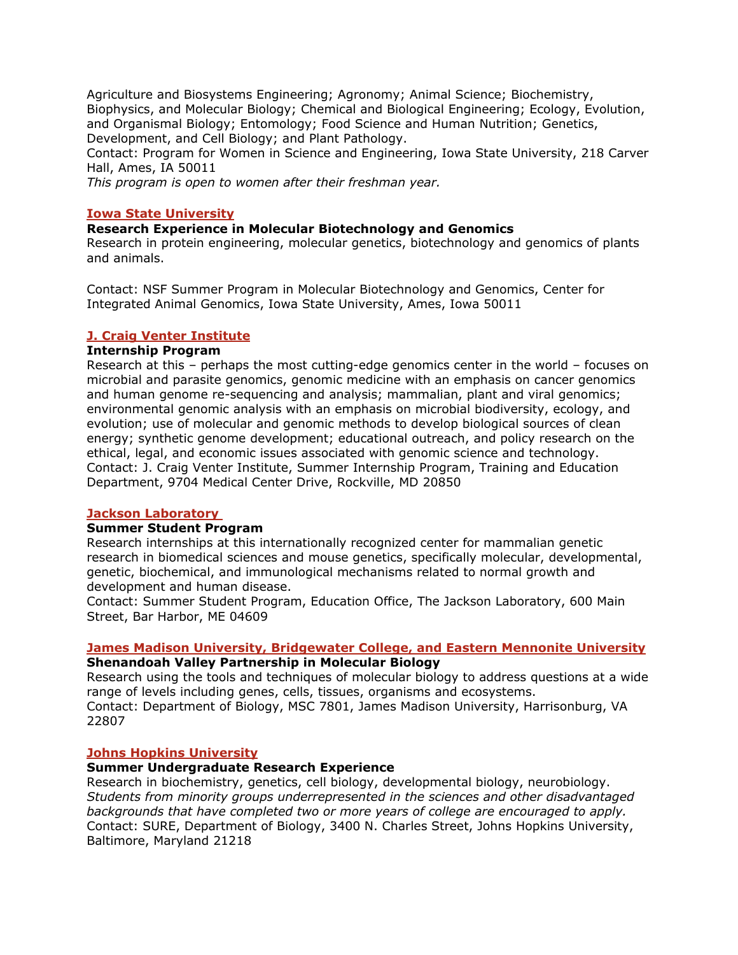Agriculture and Biosystems Engineering; Agronomy; Animal Science; Biochemistry, Biophysics, and Molecular Biology; Chemical and Biological Engineering; Ecology, Evolution, and Organismal Biology; Entomology; Food Science and Human Nutrition; Genetics, Development, and Cell Biology; and Plant Pathology.

Contact: Program for Women in Science and Engineering, Iowa State University, 218 Carver Hall, Ames, IA 50011

*This program is open to women after their freshman year.* 

### **Iowa State University**

### **Research Experience in Molecular Biotechnology and Genomics**

Research in protein engineering, molecular genetics, biotechnology and genomics of plants and animals.

Contact: NSF Summer Program in Molecular Biotechnology and Genomics, Center for Integrated Animal Genomics, Iowa State University, Ames, Iowa 50011

### **J. Craig Venter Institute**

# **Internship Program**

Research at this – perhaps the most cutting-edge genomics center in the world – focuses on microbial and parasite genomics, genomic medicine with an emphasis on cancer genomics and human genome re-sequencing and analysis; mammalian, plant and viral genomics; environmental genomic analysis with an emphasis on microbial biodiversity, ecology, and evolution; use of molecular and genomic methods to develop biological sources of clean energy; synthetic genome development; educational outreach, and policy research on the ethical, legal, and economic issues associated with genomic science and technology. Contact: J. Craig Venter Institute, Summer Internship Program, Training and Education Department, 9704 Medical Center Drive, Rockville, MD 20850

#### **Jackson Laboratory**

#### **Summer Student Program**

Research internships at this internationally recognized center for mammalian genetic research in biomedical sciences and mouse genetics, specifically molecular, developmental, genetic, biochemical, and immunological mechanisms related to normal growth and development and human disease.

Contact: Summer Student Program, Education Office, The Jackson Laboratory, 600 Main Street, Bar Harbor, ME 04609

## **James Madison University, Bridgewater College, and Eastern Mennonite University Shenandoah Valley Partnership in Molecular Biology**

Research using the tools and techniques of molecular biology to address questions at a wide range of levels including genes, cells, tissues, organisms and ecosystems. Contact: Department of Biology, MSC 7801, James Madison University, Harrisonburg, VA 22807

#### **Johns Hopkins University**

#### **Summer Undergraduate Research Experience**

Research in biochemistry, genetics, cell biology, developmental biology, neurobiology. *Students from minority groups underrepresented in the sciences and other disadvantaged backgrounds that have completed two or more years of college are encouraged to apply.*  Contact: SURE, Department of Biology, 3400 N. Charles Street, Johns Hopkins University, Baltimore, Maryland 21218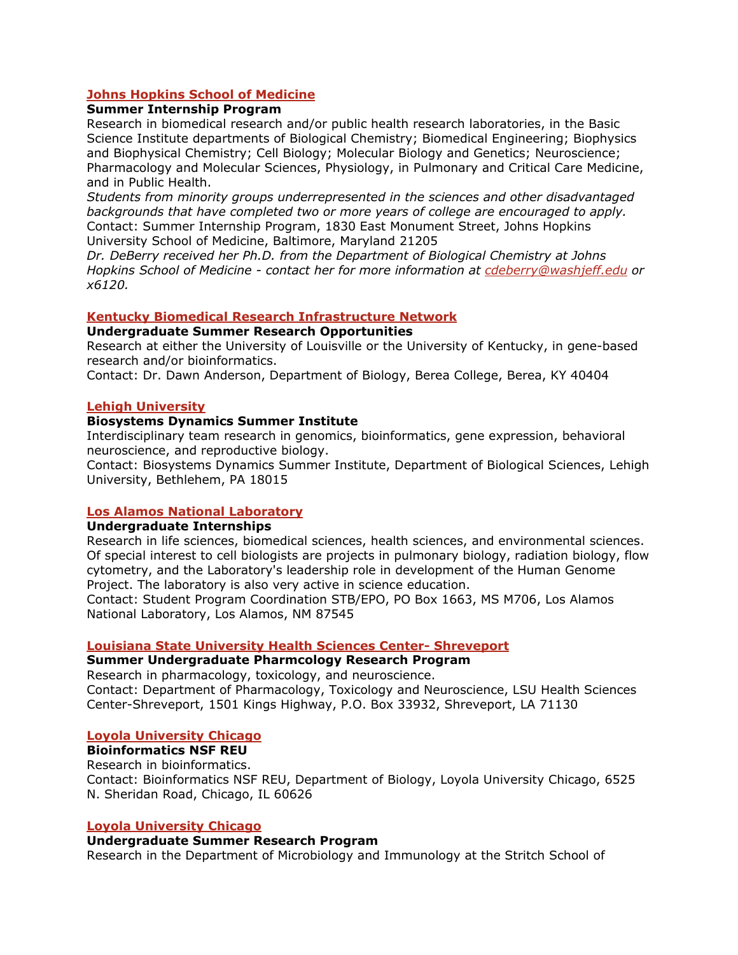# **Johns Hopkins School of Medicine**

# **Summer Internship Program**

Research in biomedical research and/or public health research laboratories, in the Basic Science Institute departments of Biological Chemistry; Biomedical Engineering; Biophysics and Biophysical Chemistry; Cell Biology; Molecular Biology and Genetics; Neuroscience; Pharmacology and Molecular Sciences, Physiology, in Pulmonary and Critical Care Medicine, and in Public Health.

*Students from minority groups underrepresented in the sciences and other disadvantaged backgrounds that have completed two or more years of college are encouraged to apply.*  Contact: Summer Internship Program, 1830 East Monument Street, Johns Hopkins University School of Medicine, Baltimore, Maryland 21205

*Dr. DeBerry received her Ph.D. from the Department of Biological Chemistry at Johns Hopkins School of Medicine - contact her for more information at cdeberry@washjeff.edu or x6120.*

### **Kentucky Biomedical Research Infrastructure Network**

### **Undergraduate Summer Research Opportunities**

Research at either the University of Louisville or the University of Kentucky, in gene-based research and/or bioinformatics.

Contact: Dr. Dawn Anderson, Department of Biology, Berea College, Berea, KY 40404

#### **Lehigh University**

### **Biosystems Dynamics Summer Institute**

Interdisciplinary team research in genomics, bioinformatics, gene expression, behavioral neuroscience, and reproductive biology.

Contact: Biosystems Dynamics Summer Institute, Department of Biological Sciences, Lehigh University, Bethlehem, PA 18015

## **Los Alamos National Laboratory**

#### **Undergraduate Internships**

Research in life sciences, biomedical sciences, health sciences, and environmental sciences. Of special interest to cell biologists are projects in pulmonary biology, radiation biology, flow cytometry, and the Laboratory's leadership role in development of the Human Genome Project. The laboratory is also very active in science education.

Contact: Student Program Coordination STB/EPO, PO Box 1663, MS M706, Los Alamos National Laboratory, Los Alamos, NM 87545

#### **Louisiana State University Health Sciences Center- Shreveport**

## **Summer Undergraduate Pharmcology Research Program**

Research in pharmacology, toxicology, and neuroscience. Contact: Department of Pharmacology, Toxicology and Neuroscience, LSU Health Sciences Center-Shreveport, 1501 Kings Highway, P.O. Box 33932, Shreveport, LA 71130

## **Loyola University Chicago**

# **Bioinformatics NSF REU**

Research in bioinformatics.

Contact: Bioinformatics NSF REU, Department of Biology, Loyola University Chicago, 6525 N. Sheridan Road, Chicago, IL 60626

#### **Loyola University Chicago**

#### **Undergraduate Summer Research Program**

Research in the Department of Microbiology and Immunology at the Stritch School of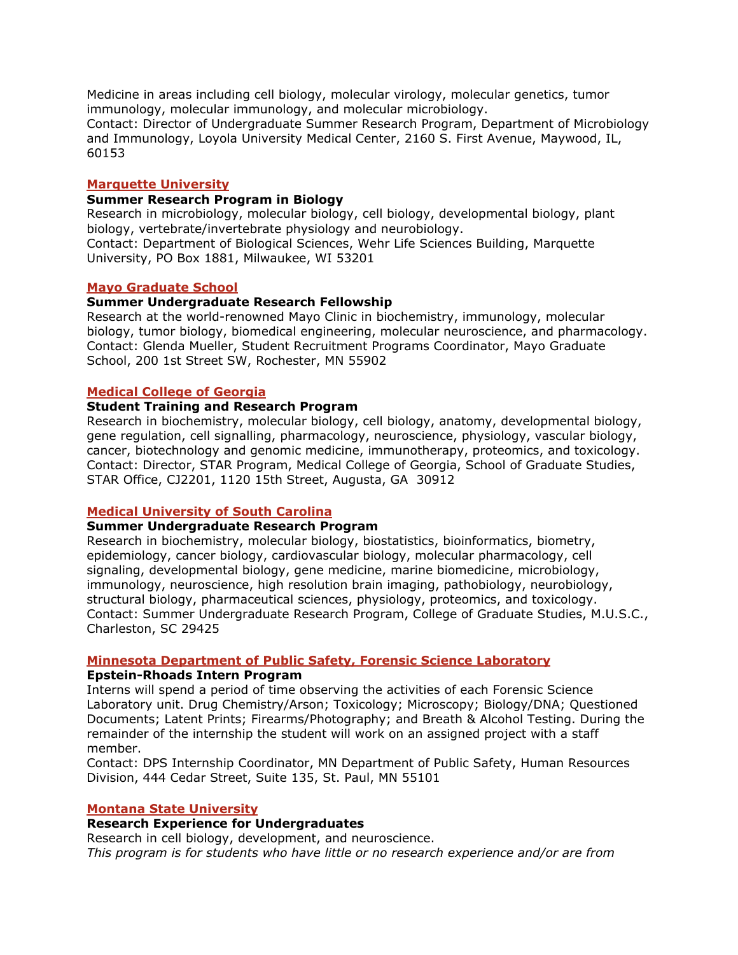Medicine in areas including cell biology, molecular virology, molecular genetics, tumor immunology, molecular immunology, and molecular microbiology.

Contact: Director of Undergraduate Summer Research Program, Department of Microbiology and Immunology, Loyola University Medical Center, 2160 S. First Avenue, Maywood, IL, 60153

#### **Marquette University**

### **Summer Research Program in Biology**

Research in microbiology, molecular biology, cell biology, developmental biology, plant biology, vertebrate/invertebrate physiology and neurobiology.

Contact: Department of Biological Sciences, Wehr Life Sciences Building, Marquette University, PO Box 1881, Milwaukee, WI 53201

#### **Mayo Graduate School**

### **Summer Undergraduate Research Fellowship**

Research at the world-renowned Mayo Clinic in biochemistry, immunology, molecular biology, tumor biology, biomedical engineering, molecular neuroscience, and pharmacology. Contact: Glenda Mueller, Student Recruitment Programs Coordinator, Mayo Graduate School, 200 1st Street SW, Rochester, MN 55902

### **Medical College of Georgia**

## **Student Training and Research Program**

Research in biochemistry, molecular biology, cell biology, anatomy, developmental biology, gene regulation, cell signalling, pharmacology, neuroscience, physiology, vascular biology, cancer, biotechnology and genomic medicine, immunotherapy, proteomics, and toxicology. Contact: Director, STAR Program, Medical College of Georgia, School of Graduate Studies, STAR Office, CJ2201, 1120 15th Street, Augusta, GA 30912

## **Medical University of South Carolina**

#### **Summer Undergraduate Research Program**

Research in biochemistry, molecular biology, biostatistics, bioinformatics, biometry, epidemiology, cancer biology, cardiovascular biology, molecular pharmacology, cell signaling, developmental biology, gene medicine, marine biomedicine, microbiology, immunology, neuroscience, high resolution brain imaging, pathobiology, neurobiology, structural biology, pharmaceutical sciences, physiology, proteomics, and toxicology. Contact: Summer Undergraduate Research Program, College of Graduate Studies, M.U.S.C., Charleston, SC 29425

## **Minnesota Department of Public Safety, Forensic Science Laboratory**

#### **Epstein-Rhoads Intern Program**

Interns will spend a period of time observing the activities of each Forensic Science Laboratory unit. Drug Chemistry/Arson; Toxicology; Microscopy; Biology/DNA; Questioned Documents; Latent Prints; Firearms/Photography; and Breath & Alcohol Testing. During the remainder of the internship the student will work on an assigned project with a staff member.

Contact: DPS Internship Coordinator, MN Department of Public Safety, Human Resources Division, 444 Cedar Street, Suite 135, St. Paul, MN 55101

### **Montana State University**

## **Research Experience for Undergraduates**

Research in cell biology, development, and neuroscience. *This program is for students who have little or no research experience and/or are from*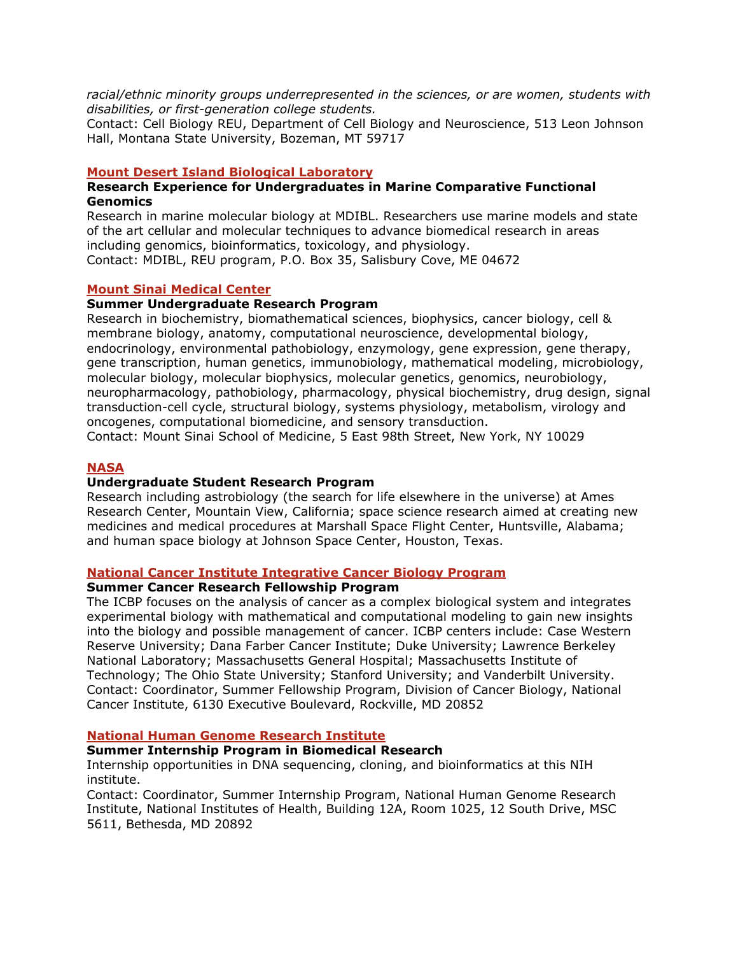*racial/ethnic minority groups underrepresented in the sciences, or are women, students with disabilities, or first-generation college students.*

Contact: Cell Biology REU, Department of Cell Biology and Neuroscience, 513 Leon Johnson Hall, Montana State University, Bozeman, MT 59717

#### **Mount Desert Island Biological Laboratory**

#### **Research Experience for Undergraduates in Marine Comparative Functional Genomics**

Research in marine molecular biology at MDIBL. Researchers use marine models and state of the art cellular and molecular techniques to advance biomedical research in areas including genomics, bioinformatics, toxicology, and physiology. Contact: MDIBL, REU program, P.O. Box 35, Salisbury Cove, ME 04672

#### **Mount Sinai Medical Center**

#### **Summer Undergraduate Research Program**

Research in biochemistry, biomathematical sciences, biophysics, cancer biology, cell & membrane biology, anatomy, computational neuroscience, developmental biology, endocrinology, environmental pathobiology, enzymology, gene expression, gene therapy, gene transcription, human genetics, immunobiology, mathematical modeling, microbiology, molecular biology, molecular biophysics, molecular genetics, genomics, neurobiology, neuropharmacology, pathobiology, pharmacology, physical biochemistry, drug design, signal transduction-cell cycle, structural biology, systems physiology, metabolism, virology and oncogenes, computational biomedicine, and sensory transduction.

Contact: Mount Sinai School of Medicine, 5 East 98th Street, New York, NY 10029

#### **NASA**

### **Undergraduate Student Research Program**

Research including astrobiology (the search for life elsewhere in the universe) at Ames Research Center, Mountain View, California; space science research aimed at creating new medicines and medical procedures at Marshall Space Flight Center, Huntsville, Alabama; and human space biology at Johnson Space Center, Houston, Texas.

#### **National Cancer Institute Integrative Cancer Biology Program**

### **Summer Cancer Research Fellowship Program**

The ICBP focuses on the analysis of cancer as a complex biological system and integrates experimental biology with mathematical and computational modeling to gain new insights into the biology and possible management of cancer. ICBP centers include: Case Western Reserve University; Dana Farber Cancer Institute; Duke University; Lawrence Berkeley National Laboratory; Massachusetts General Hospital; Massachusetts Institute of Technology; The Ohio State University; Stanford University; and Vanderbilt University. Contact: Coordinator, Summer Fellowship Program, Division of Cancer Biology, National Cancer Institute, 6130 Executive Boulevard, Rockville, MD 20852

## **National Human Genome Research Institute**

### **Summer Internship Program in Biomedical Research**

Internship opportunities in DNA sequencing, cloning, and bioinformatics at this NIH institute.

Contact: Coordinator, Summer Internship Program, National Human Genome Research Institute, National Institutes of Health, Building 12A, Room 1025, 12 South Drive, MSC 5611, Bethesda, MD 20892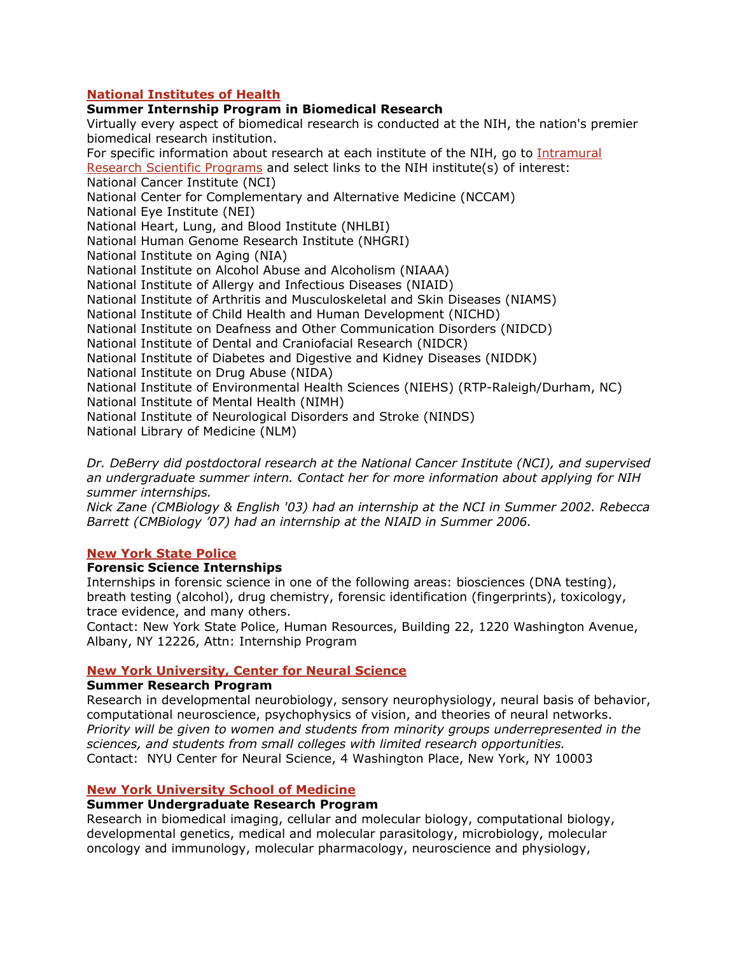# **National Institutes of Health**

# **Summer Internship Program in Biomedical Research**

Virtually every aspect of biomedical research is conducted at the NIH, the nation's premier biomedical research institution. For specific information about research at each institute of the NIH, go to Intramural Research Scientific Programs and select links to the NIH institute(s) of interest: National Cancer Institute (NCI) National Center for Complementary and Alternative Medicine (NCCAM) National Eye Institute (NEI) National Heart, Lung, and Blood Institute (NHLBI) National Human Genome Research Institute (NHGRI) National Institute on Aging (NIA) National Institute on Alcohol Abuse and Alcoholism (NIAAA) National Institute of Allergy and Infectious Diseases (NIAID) National Institute of Arthritis and Musculoskeletal and Skin Diseases (NIAMS) National Institute of Child Health and Human Development (NICHD) National Institute on Deafness and Other Communication Disorders (NIDCD) National Institute of Dental and Craniofacial Research (NIDCR) National Institute of Diabetes and Digestive and Kidney Diseases (NIDDK) National Institute on Drug Abuse (NIDA) National Institute of Environmental Health Sciences (NIEHS) (RTP-Raleigh/Durham, NC) National Institute of Mental Health (NIMH) National Institute of Neurological Disorders and Stroke (NINDS) National Library of Medicine (NLM)

*Dr. DeBerry did postdoctoral research at the National Cancer Institute (NCI), and supervised an undergraduate summer intern. Contact her for more information about applying for NIH summer internships.* 

*Nick Zane (CMBiology & English '03) had an internship at the NCI in Summer 2002. Rebecca Barrett (CMBiology '07) had an internship at the NIAID in Summer 2006.*

## **New York State Police**

#### **Forensic Science Internships**

Internships in forensic science in one of the following areas: biosciences (DNA testing), breath testing (alcohol), drug chemistry, forensic identification (fingerprints), toxicology, trace evidence, and many others.

Contact: New York State Police, Human Resources, Building 22, 1220 Washington Avenue, Albany, NY 12226, Attn: Internship Program

# **New York University, Center for Neural Science**

#### **Summer Research Program**

Research in developmental neurobiology, sensory neurophysiology, neural basis of behavior, computational neuroscience, psychophysics of vision, and theories of neural networks. *Priority will be given to women and students from minority groups underrepresented in the sciences, and students from small colleges with limited research opportunities.*  Contact: NYU Center for Neural Science, 4 Washington Place, New York, NY 10003

## **New York University School of Medicine**

## **Summer Undergraduate Research Program**

Research in biomedical imaging, cellular and molecular biology, computational biology, developmental genetics, medical and molecular parasitology, microbiology, molecular oncology and immunology, molecular pharmacology, neuroscience and physiology,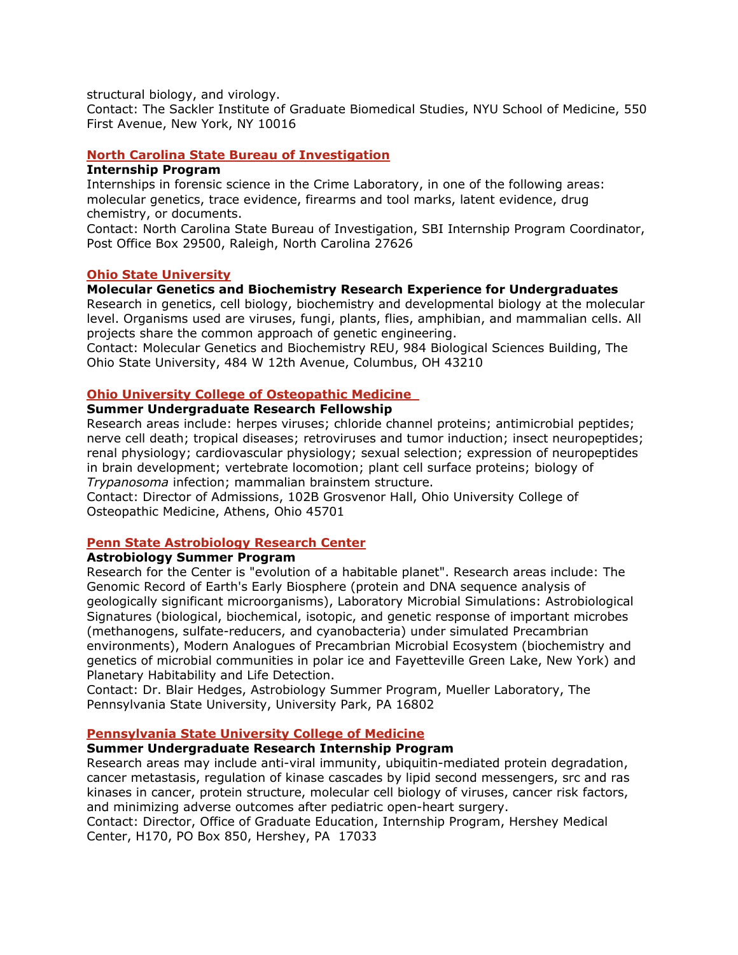structural biology, and virology.

Contact: The Sackler Institute of Graduate Biomedical Studies, NYU School of Medicine, 550 First Avenue, New York, NY 10016

### **North Carolina State Bureau of Investigation**

## **Internship Program**

Internships in forensic science in the Crime Laboratory, in one of the following areas: molecular genetics, trace evidence, firearms and tool marks, latent evidence, drug chemistry, or documents.

Contact: North Carolina State Bureau of Investigation, SBI Internship Program Coordinator, Post Office Box 29500, Raleigh, North Carolina 27626

## **Ohio State University**

#### **Molecular Genetics and Biochemistry Research Experience for Undergraduates**

Research in genetics, cell biology, biochemistry and developmental biology at the molecular level. Organisms used are viruses, fungi, plants, flies, amphibian, and mammalian cells. All projects share the common approach of genetic engineering.

Contact: Molecular Genetics and Biochemistry REU, 984 Biological Sciences Building, The Ohio State University, 484 W 12th Avenue, Columbus, OH 43210

#### **Ohio University College of Osteopathic Medicine**

#### **Summer Undergraduate Research Fellowship**

Research areas include: herpes viruses; chloride channel proteins; antimicrobial peptides; nerve cell death; tropical diseases; retroviruses and tumor induction; insect neuropeptides; renal physiology; cardiovascular physiology; sexual selection; expression of neuropeptides in brain development; vertebrate locomotion; plant cell surface proteins; biology of *Trypanosoma* infection; mammalian brainstem structure.

Contact: Director of Admissions, 102B Grosvenor Hall, Ohio University College of Osteopathic Medicine, Athens, Ohio 45701

#### **Penn State Astrobiology Research Center**

### **Astrobiology Summer Program**

Research for the Center is "evolution of a habitable planet". Research areas include: The Genomic Record of Earth's Early Biosphere (protein and DNA sequence analysis of geologically significant microorganisms), Laboratory Microbial Simulations: Astrobiological Signatures (biological, biochemical, isotopic, and genetic response of important microbes (methanogens, sulfate-reducers, and cyanobacteria) under simulated Precambrian environments), Modern Analogues of Precambrian Microbial Ecosystem (biochemistry and genetics of microbial communities in polar ice and Fayetteville Green Lake, New York) and Planetary Habitability and Life Detection.

Contact: Dr. Blair Hedges, Astrobiology Summer Program, Mueller Laboratory, The Pennsylvania State University, University Park, PA 16802

#### **Pennsylvania State University College of Medicine**

#### **Summer Undergraduate Research Internship Program**

Research areas may include anti-viral immunity, ubiquitin-mediated protein degradation, cancer metastasis, regulation of kinase cascades by lipid second messengers, src and ras kinases in cancer, protein structure, molecular cell biology of viruses, cancer risk factors, and minimizing adverse outcomes after pediatric open-heart surgery.

Contact: Director, Office of Graduate Education, Internship Program, Hershey Medical Center, H170, PO Box 850, Hershey, PA 17033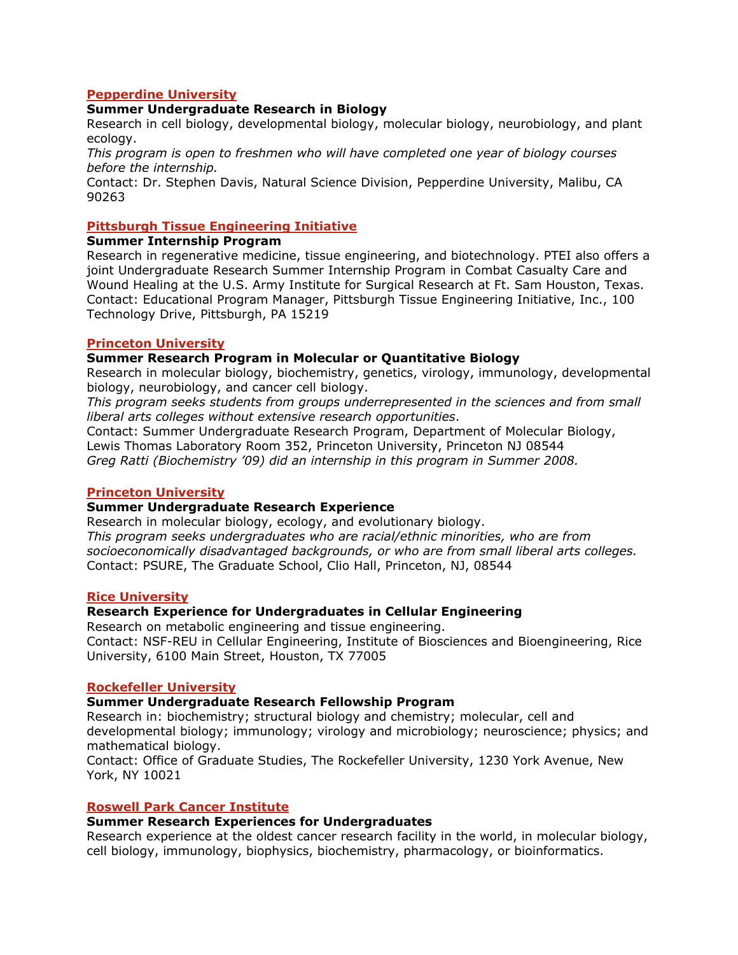### **Pepperdine University**

#### **Summer Undergraduate Research in Biology**

Research in cell biology, developmental biology, molecular biology, neurobiology, and plant ecology.

*This program is open to freshmen who will have completed one year of biology courses before the internship.*

Contact: Dr. Stephen Davis, Natural Science Division, Pepperdine University, Malibu, CA 90263

#### **Pittsburgh Tissue Engineering Initiative**

#### **Summer Internship Program**

Research in regenerative medicine, tissue engineering, and biotechnology. PTEI also offers a joint Undergraduate Research Summer Internship Program in Combat Casualty Care and Wound Healing at the U.S. Army Institute for Surgical Research at Ft. Sam Houston, Texas. Contact: Educational Program Manager, Pittsburgh Tissue Engineering Initiative, Inc., 100 Technology Drive, Pittsburgh, PA 15219

### **Princeton University**

### **Summer Research Program in Molecular or Quantitative Biology**

Research in molecular biology, biochemistry, genetics, virology, immunology, developmental biology, neurobiology, and cancer cell biology.

*This program seeks students from groups underrepresented in the sciences and from small liberal arts colleges without extensive research opportunities*.

Contact: Summer Undergraduate Research Program, Department of Molecular Biology, Lewis Thomas Laboratory Room 352, Princeton University, Princeton NJ 08544 *Greg Ratti (Biochemistry '09) did an internship in this program in Summer 2008.* 

#### **Princeton University**

### **Summer Undergraduate Research Experience**

Research in molecular biology, ecology, and evolutionary biology. *This program seeks undergraduates who are racial/ethnic minorities, who are from socioeconomically disadvantaged backgrounds, or who are from small liberal arts colleges.* Contact: PSURE, The Graduate School, Clio Hall, Princeton, NJ, 08544

#### **Rice University**

## **Research Experience for Undergraduates in Cellular Engineering**

Research on metabolic engineering and tissue engineering. Contact: NSF-REU in Cellular Engineering, Institute of Biosciences and Bioengineering, Rice University, 6100 Main Street, Houston, TX 77005

#### **Rockefeller University**

### **Summer Undergraduate Research Fellowship Program**

Research in: biochemistry; structural biology and chemistry; molecular, cell and developmental biology; immunology; virology and microbiology; neuroscience; physics; and mathematical biology.

Contact: Office of Graduate Studies, The Rockefeller University, 1230 York Avenue, New York, NY 10021

#### **Roswell Park Cancer Institute**

## **Summer Research Experiences for Undergraduates**

Research experience at the oldest cancer research facility in the world, in molecular biology, cell biology, immunology, biophysics, biochemistry, pharmacology, or bioinformatics.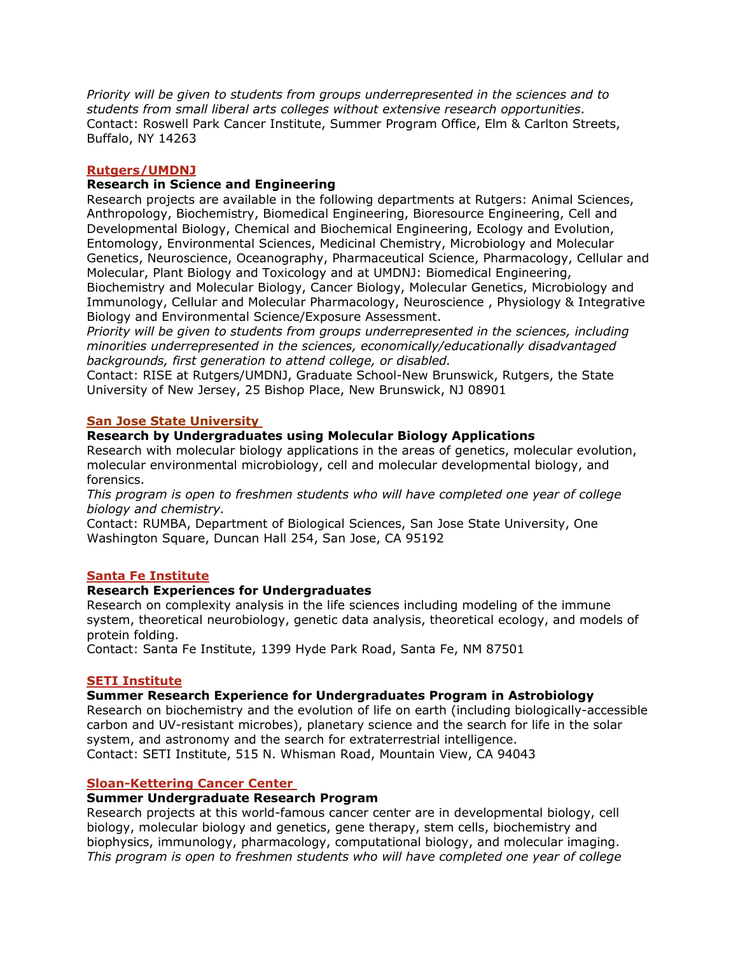*Priority will be given to students from groups underrepresented in the sciences and to students from small liberal arts colleges without extensive research opportunities*. Contact: Roswell Park Cancer Institute, Summer Program Office, Elm & Carlton Streets, Buffalo, NY 14263

## **Rutgers/UMDNJ**

# **Research in Science and Engineering**

Research projects are available in the following departments at Rutgers: Animal Sciences, Anthropology, Biochemistry, Biomedical Engineering, Bioresource Engineering, Cell and Developmental Biology, Chemical and Biochemical Engineering, Ecology and Evolution, Entomology, Environmental Sciences, Medicinal Chemistry, Microbiology and Molecular Genetics, Neuroscience, Oceanography, Pharmaceutical Science, Pharmacology, Cellular and Molecular, Plant Biology and Toxicology and at UMDNJ: Biomedical Engineering, Biochemistry and Molecular Biology, Cancer Biology, Molecular Genetics, Microbiology and Immunology, Cellular and Molecular Pharmacology, Neuroscience , Physiology & Integrative Biology and Environmental Science/Exposure Assessment.

*Priority will be given to students from groups underrepresented in the sciences, including minorities underrepresented in the sciences, economically/educationally disadvantaged backgrounds, first generation to attend college, or disabled.* 

Contact: RISE at Rutgers/UMDNJ, Graduate School-New Brunswick, Rutgers, the State University of New Jersey, 25 Bishop Place, New Brunswick, NJ 08901

## **San Jose State University**

## **Research by Undergraduates using Molecular Biology Applications**

Research with molecular biology applications in the areas of genetics, molecular evolution, molecular environmental microbiology, cell and molecular developmental biology, and forensics.

*This program is open to freshmen students who will have completed one year of college biology and chemistry.*

Contact: RUMBA, Department of Biological Sciences, San Jose State University, One Washington Square, Duncan Hall 254, San Jose, CA 95192

## **Santa Fe Institute**

## **Research Experiences for Undergraduates**

Research on complexity analysis in the life sciences including modeling of the immune system, theoretical neurobiology, genetic data analysis, theoretical ecology, and models of protein folding.

Contact: Santa Fe Institute, 1399 Hyde Park Road, Santa Fe, NM 87501

## **SETI Institute**

# **Summer Research Experience for Undergraduates Program in Astrobiology**

Research on biochemistry and the evolution of life on earth (including biologically-accessible carbon and UV-resistant microbes), planetary science and the search for life in the solar system, and astronomy and the search for extraterrestrial intelligence. Contact: SETI Institute, 515 N. Whisman Road, Mountain View, CA 94043

## **Sloan-Kettering Cancer Center**

## **Summer Undergraduate Research Program**

Research projects at this world-famous cancer center are in developmental biology, cell biology, molecular biology and genetics, gene therapy, stem cells, biochemistry and biophysics, immunology, pharmacology, computational biology, and molecular imaging. *This program is open to freshmen students who will have completed one year of college*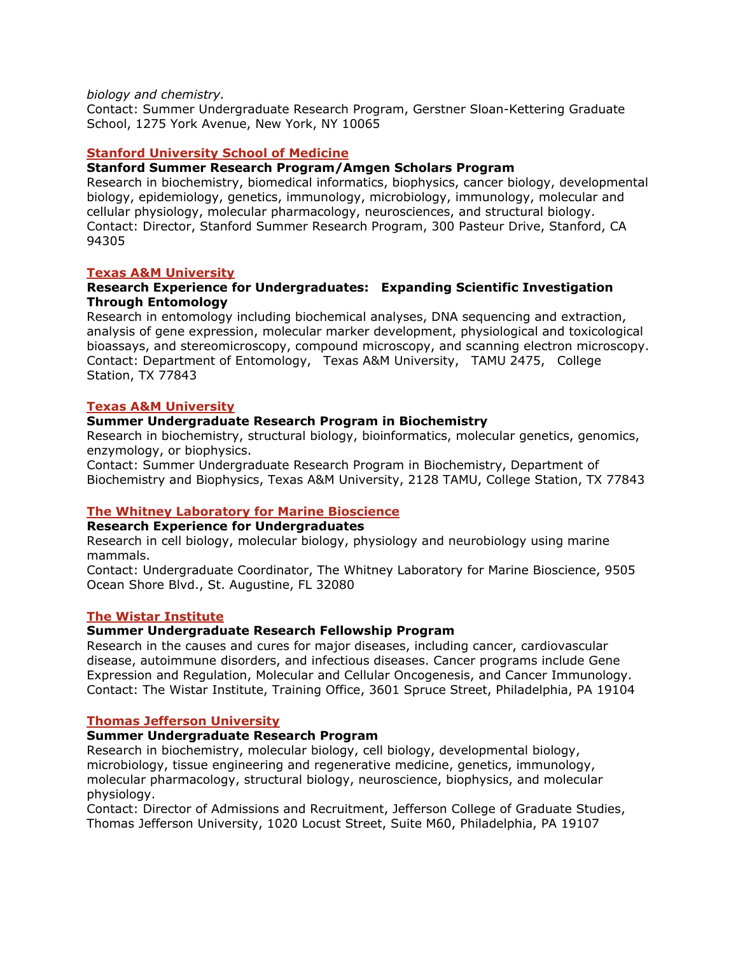### *biology and chemistry.*

Contact: Summer Undergraduate Research Program, Gerstner Sloan-Kettering Graduate School, 1275 York Avenue, New York, NY 10065

# **Stanford University School of Medicine**

## **Stanford Summer Research Program/Amgen Scholars Program**

Research in biochemistry, biomedical informatics, biophysics, cancer biology, developmental biology, epidemiology, genetics, immunology, microbiology, immunology, molecular and cellular physiology, molecular pharmacology, neurosciences, and structural biology. Contact: Director, Stanford Summer Research Program, 300 Pasteur Drive, Stanford, CA 94305

## **Texas A&M University**

## **Research Experience for Undergraduates:Expanding Scientific Investigation Through Entomology**

Research in entomology including biochemical analyses, DNA sequencing and extraction, analysis of gene expression, molecular marker development, physiological and toxicological bioassays, and stereomicroscopy, compound microscopy, and scanning electron microscopy. Contact: Department of Entomology, Texas A&M University, TAMU 2475, College Station, TX 77843

### **Texas A&M University**

## **Summer Undergraduate Research Program in Biochemistry**

Research in biochemistry, structural biology, bioinformatics, molecular genetics, genomics, enzymology, or biophysics.

Contact: Summer Undergraduate Research Program in Biochemistry, Department of Biochemistry and Biophysics, Texas A&M University, 2128 TAMU, College Station, TX 77843

## **The Whitney Laboratory for Marine Bioscience**

# **Research Experience for Undergraduates**

Research in cell biology, molecular biology, physiology and neurobiology using marine mammals.

Contact: Undergraduate Coordinator, The Whitney Laboratory for Marine Bioscience, 9505 Ocean Shore Blvd., St. Augustine, FL 32080

### **The Wistar Institute**

## **Summer Undergraduate Research Fellowship Program**

Research in the causes and cures for major diseases, including cancer, cardiovascular disease, autoimmune disorders, and infectious diseases. Cancer programs include Gene Expression and Regulation, Molecular and Cellular Oncogenesis, and Cancer Immunology. Contact: The Wistar Institute, Training Office, 3601 Spruce Street, Philadelphia, PA 19104

#### **Thomas Jefferson University**

#### **Summer Undergraduate Research Program**

Research in biochemistry, molecular biology, cell biology, developmental biology, microbiology, tissue engineering and regenerative medicine, genetics, immunology, molecular pharmacology, structural biology, neuroscience, biophysics, and molecular physiology.

Contact: Director of Admissions and Recruitment, Jefferson College of Graduate Studies, Thomas Jefferson University, 1020 Locust Street, Suite M60, Philadelphia, PA 19107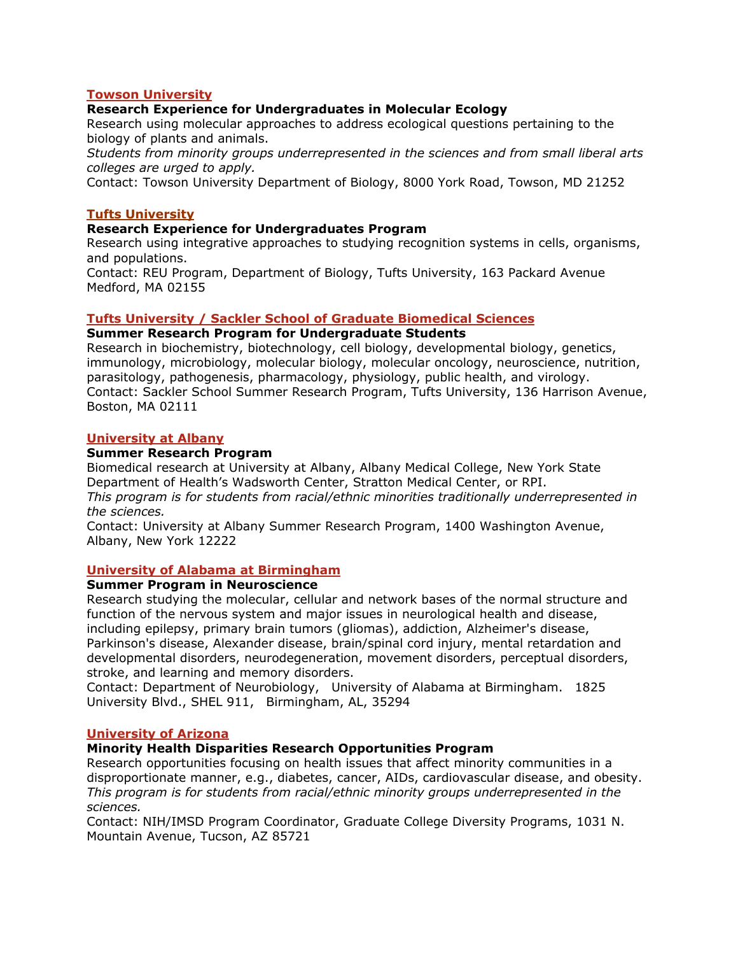### **Towson University**

### **Research Experience for Undergraduates in Molecular Ecology**

Research using molecular approaches to address ecological questions pertaining to the biology of plants and animals.

*Students from minority groups underrepresented in the sciences and from small liberal arts colleges are urged to apply.* 

Contact: Towson University Department of Biology, 8000 York Road, Towson, MD 21252

#### **Tufts University**

#### **Research Experience for Undergraduates Program**

Research using integrative approaches to studying recognition systems in cells, organisms, and populations.

Contact: REU Program, Department of Biology, Tufts University, 163 Packard Avenue Medford, MA 02155

### **Tufts University / Sackler School of Graduate Biomedical Sciences**

#### **Summer Research Program for Undergraduate Students**

Research in biochemistry, biotechnology, cell biology, developmental biology, genetics, immunology, microbiology, molecular biology, molecular oncology, neuroscience, nutrition, parasitology, pathogenesis, pharmacology, physiology, public health, and virology. Contact: Sackler School Summer Research Program, Tufts University, 136 Harrison Avenue, Boston, MA 02111

#### **University at Albany**

#### **Summer Research Program**

Biomedical research at University at Albany, Albany Medical College, New York State Department of Health's Wadsworth Center, Stratton Medical Center, or RPI. *This program is for students from racial/ethnic minorities traditionally underrepresented in the sciences.* 

Contact: University at Albany Summer Research Program, 1400 Washington Avenue, Albany, New York 12222

### **University of Alabama at Birmingham**

## **Summer Program in Neuroscience**

Research studying the molecular, cellular and network bases of the normal structure and function of the nervous system and major issues in neurological health and disease, including epilepsy, primary brain tumors (gliomas), addiction, Alzheimer's disease, Parkinson's disease, Alexander disease, brain/spinal cord injury, mental retardation and developmental disorders, neurodegeneration, movement disorders, perceptual disorders, stroke, and learning and memory disorders.

Contact: Department of Neurobiology, University of Alabama at Birmingham. 1825 University Blvd., SHEL 911, Birmingham, AL, 35294

#### **University of Arizona**

#### **Minority Health Disparities Research Opportunities Program**

Research opportunities focusing on health issues that affect minority communities in a disproportionate manner, e.g., diabetes, cancer, AIDs, cardiovascular disease, and obesity. *This program is for students from racial/ethnic minority groups underrepresented in the sciences.* 

Contact: NIH/IMSD Program Coordinator, Graduate College Diversity Programs, 1031 N. Mountain Avenue, Tucson, AZ 85721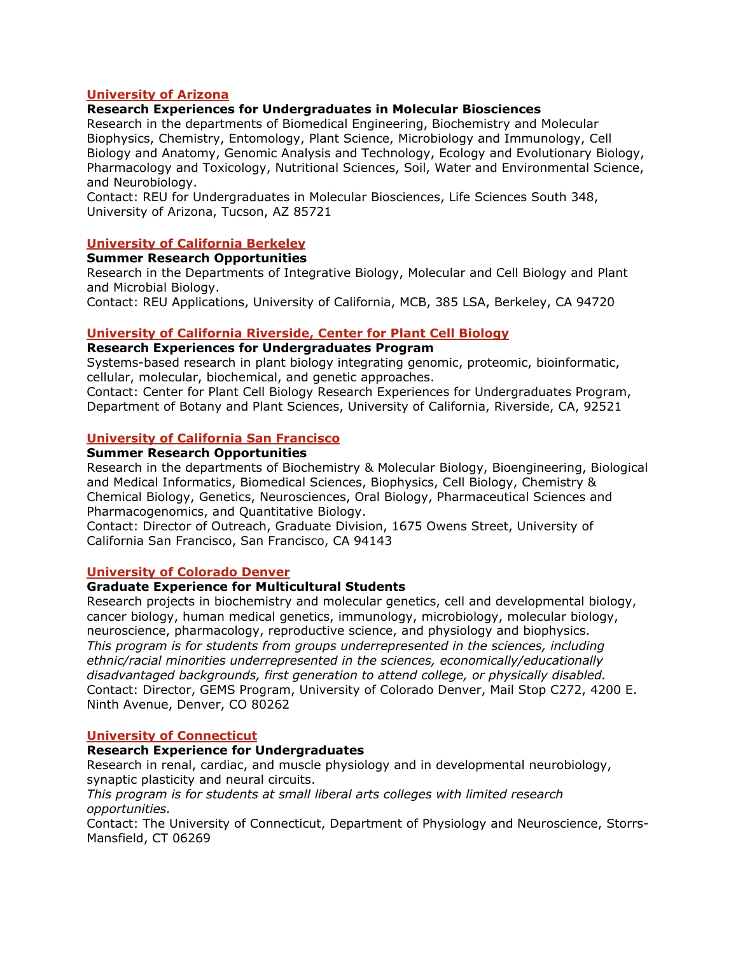## **University of Arizona**

### **Research Experiences for Undergraduates in Molecular Biosciences**

Research in the departments of Biomedical Engineering, Biochemistry and Molecular Biophysics, Chemistry, Entomology, Plant Science, Microbiology and Immunology, Cell Biology and Anatomy, Genomic Analysis and Technology, Ecology and Evolutionary Biology, Pharmacology and Toxicology, Nutritional Sciences, Soil, Water and Environmental Science, and Neurobiology.

Contact: REU for Undergraduates in Molecular Biosciences, Life Sciences South 348, University of Arizona, Tucson, AZ 85721

### **University of California Berkeley**

#### **Summer Research Opportunities**

Research in the Departments of Integrative Biology, Molecular and Cell Biology and Plant and Microbial Biology.

Contact: REU Applications, University of California, MCB, 385 LSA, Berkeley, CA 94720

### **University of California Riverside, Center for Plant Cell Biology**

# **Research Experiences for Undergraduates Program**

Systems-based research in plant biology integrating genomic, proteomic, bioinformatic, cellular, molecular, biochemical, and genetic approaches.

Contact: Center for Plant Cell Biology Research Experiences for Undergraduates Program, Department of Botany and Plant Sciences, University of California, Riverside, CA, 92521

### **University of California San Francisco**

### **Summer Research Opportunities**

Research in the departments of Biochemistry & Molecular Biology, Bioengineering, Biological and Medical Informatics, Biomedical Sciences, Biophysics, Cell Biology, Chemistry & Chemical Biology, Genetics, Neurosciences, Oral Biology, Pharmaceutical Sciences and Pharmacogenomics, and Quantitative Biology.

Contact: Director of Outreach, Graduate Division, 1675 Owens Street, University of California San Francisco, San Francisco, CA 94143

#### **University of Colorado Denver**

### **Graduate Experience for Multicultural Students**

Research projects in biochemistry and molecular genetics, cell and developmental biology, cancer biology, human medical genetics, immunology, microbiology, molecular biology, neuroscience, pharmacology, reproductive science, and physiology and biophysics. *This program is for students from groups underrepresented in the sciences, including ethnic/racial minorities underrepresented in the sciences, economically/educationally disadvantaged backgrounds, first generation to attend college, or physically disabled.* Contact: Director, GEMS Program, University of Colorado Denver, Mail Stop C272, 4200 E. Ninth Avenue, Denver, CO 80262

#### **University of Connecticut**

#### **Research Experience for Undergraduates**

Research in renal, cardiac, and muscle physiology and in developmental neurobiology, synaptic plasticity and neural circuits.

*This program is for students at small liberal arts colleges with limited research opportunities.* 

Contact: The University of Connecticut, Department of Physiology and Neuroscience, Storrs-Mansfield, CT 06269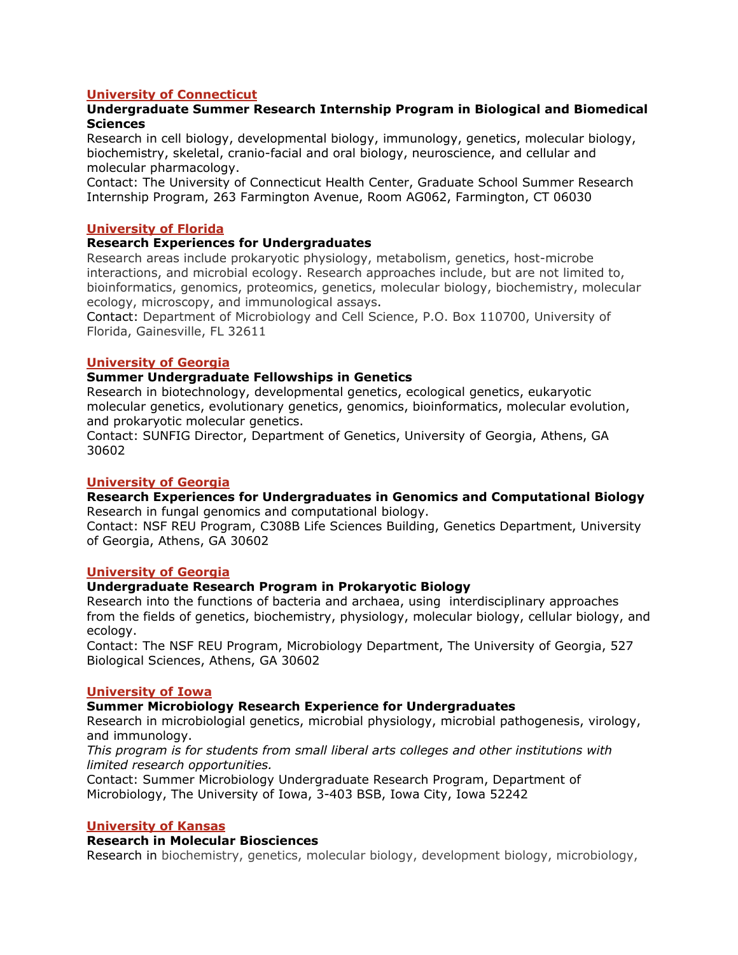# **University of Connecticut**

## **Undergraduate Summer Research Internship Program in Biological and Biomedical Sciences**

Research in cell biology, developmental biology, immunology, genetics, molecular biology, biochemistry, skeletal, cranio-facial and oral biology, neuroscience, and cellular and molecular pharmacology.

Contact: The University of Connecticut Health Center, Graduate School Summer Research Internship Program, 263 Farmington Avenue, Room AG062, Farmington, CT 06030

### **University of Florida**

### **Research Experiences for Undergraduates**

Research areas include prokaryotic physiology, metabolism, genetics, host-microbe interactions, and microbial ecology. Research approaches include, but are not limited to, bioinformatics, genomics, proteomics, genetics, molecular biology, biochemistry, molecular ecology, microscopy, and immunological assays.

Contact: Department of Microbiology and Cell Science, P.O. Box 110700, University of Florida, Gainesville, FL 32611

### **University of Georgia**

### **Summer Undergraduate Fellowships in Genetics**

Research in biotechnology, developmental genetics, ecological genetics, eukaryotic molecular genetics, evolutionary genetics, genomics, bioinformatics, molecular evolution, and prokaryotic molecular genetics.

Contact: SUNFIG Director, Department of Genetics, University of Georgia, Athens, GA 30602

### **University of Georgia**

#### **Research Experiences for Undergraduates in Genomics and Computational Biology** Research in fungal genomics and computational biology.

Contact: NSF REU Program, C308B Life Sciences Building, Genetics Department, University of Georgia, Athens, GA 30602

#### **University of Georgia**

## **Undergraduate Research Program in Prokaryotic Biology**

Research into the functions of bacteria and archaea, using interdisciplinary approaches from the fields of genetics, biochemistry, physiology, molecular biology, cellular biology, and ecology.

Contact: The NSF REU Program, Microbiology Department, The University of Georgia, 527 Biological Sciences, Athens, GA 30602

#### **University of Iowa**

## **Summer Microbiology Research Experience for Undergraduates**

Research in microbiologial genetics, microbial physiology, microbial pathogenesis, virology, and immunology.

*This program is for students from small liberal arts colleges and other institutions with limited research opportunities.* 

Contact: Summer Microbiology Undergraduate Research Program, Department of Microbiology, The University of Iowa, 3-403 BSB, Iowa City, Iowa 52242

#### **University of Kansas**

#### **Research in Molecular Biosciences**

Research in biochemistry, genetics, molecular biology, development biology, microbiology,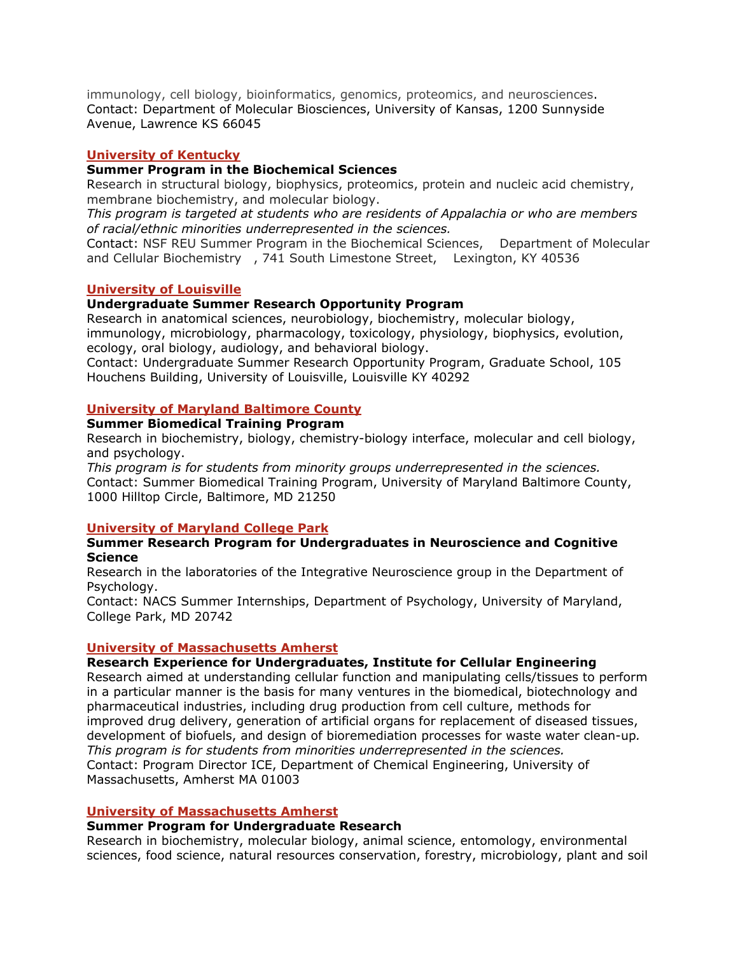immunology, cell biology, bioinformatics, genomics, proteomics, and neurosciences. Contact: Department of Molecular Biosciences, University of Kansas, 1200 Sunnyside Avenue, Lawrence KS 66045

## **University of Kentucky**

#### **Summer Program in the Biochemical Sciences**

Research in structural biology, biophysics, proteomics, protein and nucleic acid chemistry, membrane biochemistry, and molecular biology.

*This program is targeted at students who are residents of Appalachia or who are members of racial/ethnic minorities underrepresented in the sciences.*

Contact: NSF REU Summer Program in the Biochemical Sciences, Department of Molecular and Cellular Biochemistry, 741 South Limestone Street, Lexington, KY 40536

#### **University of Louisville**

### **Undergraduate Summer Research Opportunity Program**

Research in anatomical sciences, neurobiology, biochemistry, molecular biology, immunology, microbiology, pharmacology, toxicology, physiology, biophysics, evolution, ecology, oral biology, audiology, and behavioral biology.

Contact: Undergraduate Summer Research Opportunity Program, Graduate School, 105 Houchens Building, University of Louisville, Louisville KY 40292

#### **University of Maryland Baltimore County**

#### **Summer Biomedical Training Program**

Research in biochemistry, biology, chemistry-biology interface, molecular and cell biology, and psychology.

*This program is for students from minority groups underrepresented in the sciences.*  Contact: Summer Biomedical Training Program, University of Maryland Baltimore County, 1000 Hilltop Circle, Baltimore, MD 21250

#### **University of Maryland College Park**

#### **Summer Research Program for Undergraduates in Neuroscience and Cognitive Science**

Research in the laboratories of the Integrative Neuroscience group in the Department of Psychology.

Contact: NACS Summer Internships, Department of Psychology, University of Maryland, College Park, MD 20742

#### **University of Massachusetts Amherst**

#### **Research Experience for Undergraduates, Institute for Cellular Engineering**

Research aimed at understanding cellular function and manipulating cells/tissues to perform in a particular manner is the basis for many ventures in the biomedical, biotechnology and pharmaceutical industries, including drug production from cell culture, methods for improved drug delivery, generation of artificial organs for replacement of diseased tissues, development of biofuels, and design of bioremediation processes for waste water clean-up*. This program is for students from minorities underrepresented in the sciences.*  Contact: Program Director ICE, Department of Chemical Engineering, University of Massachusetts, Amherst MA 01003

#### **University of Massachusetts Amherst**

#### **Summer Program for Undergraduate Research**

Research in biochemistry, molecular biology, animal science, entomology, environmental sciences, food science, natural resources conservation, forestry, microbiology, plant and soil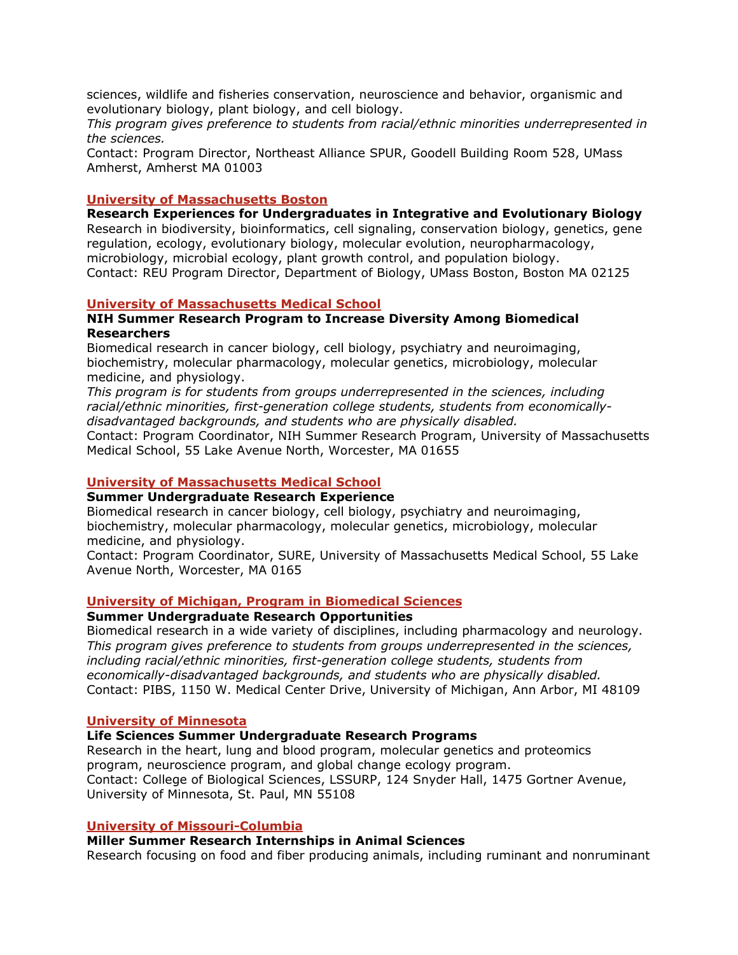sciences, wildlife and fisheries conservation, neuroscience and behavior, organismic and evolutionary biology, plant biology, and cell biology.

*This program gives preference to students from racial/ethnic minorities underrepresented in the sciences.* 

Contact: Program Director, Northeast Alliance SPUR, Goodell Building Room 528, UMass Amherst, Amherst MA 01003

### **University of Massachusetts Boston**

**Research Experiences for Undergraduates in Integrative and Evolutionary Biology** Research in biodiversity, bioinformatics, cell signaling, conservation biology, genetics, gene regulation, ecology, evolutionary biology, molecular evolution, neuropharmacology, microbiology, microbial ecology, plant growth control, and population biology. Contact: REU Program Director, Department of Biology, UMass Boston, Boston MA 02125

#### **University of Massachusetts Medical School**

### **NIH Summer Research Program to Increase Diversity Among Biomedical Researchers**

Biomedical research in cancer biology, cell biology, psychiatry and neuroimaging, biochemistry, molecular pharmacology, molecular genetics, microbiology, molecular medicine, and physiology.

*This program is for students from groups underrepresented in the sciences, including racial/ethnic minorities, first-generation college students, students from economicallydisadvantaged backgrounds, and students who are physically disabled.* 

Contact: Program Coordinator, NIH Summer Research Program, University of Massachusetts Medical School, 55 Lake Avenue North, Worcester, MA 01655

#### **University of Massachusetts Medical School**

#### **Summer Undergraduate Research Experience**

Biomedical research in cancer biology, cell biology, psychiatry and neuroimaging, biochemistry, molecular pharmacology, molecular genetics, microbiology, molecular medicine, and physiology.

Contact: Program Coordinator, SURE, University of Massachusetts Medical School, 55 Lake Avenue North, Worcester, MA 0165

#### **University of Michigan, Program in Biomedical Sciences**

## **Summer Undergraduate Research Opportunities**

Biomedical research in a wide variety of disciplines, including pharmacology and neurology. *This program gives preference to students from groups underrepresented in the sciences, including racial/ethnic minorities, first-generation college students, students from economically-disadvantaged backgrounds, and students who are physically disabled.*  Contact: PIBS, 1150 W. Medical Center Drive, University of Michigan, Ann Arbor, MI 48109

#### **University of Minnesota**

#### **Life Sciences Summer Undergraduate Research Programs**

Research in the heart, lung and blood program, molecular genetics and proteomics program, neuroscience program, and global change ecology program. Contact: College of Biological Sciences, LSSURP, 124 Snyder Hall, 1475 Gortner Avenue, University of Minnesota, St. Paul, MN 55108

#### **University of Missouri-Columbia**

#### **Miller Summer Research Internships in Animal Sciences**

Research focusing on food and fiber producing animals, including ruminant and nonruminant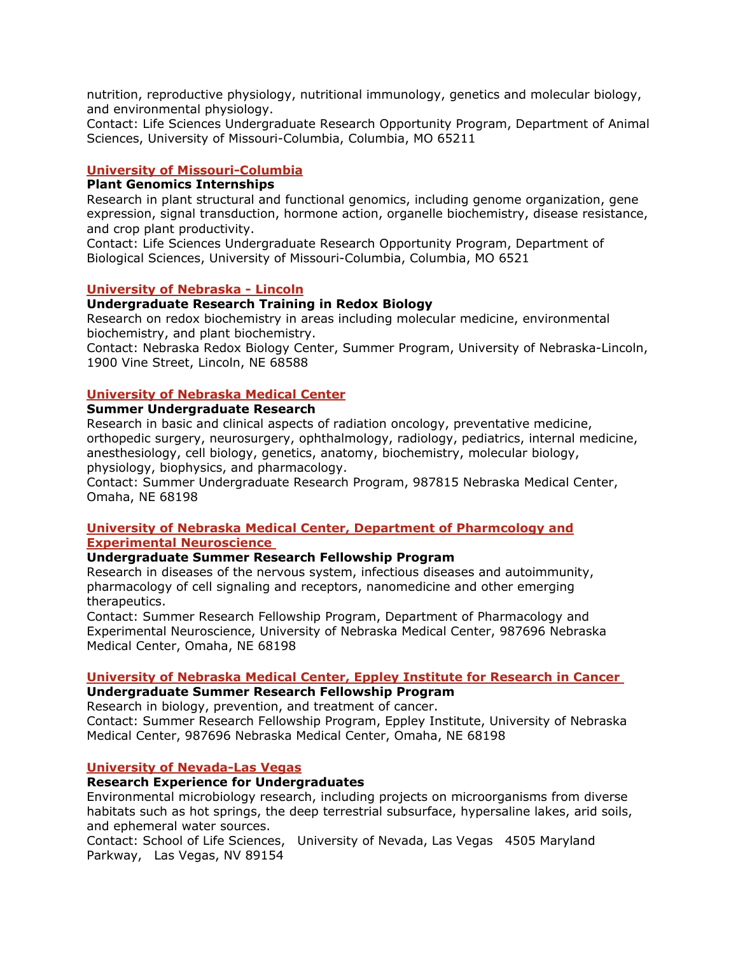nutrition, reproductive physiology, nutritional immunology, genetics and molecular biology, and environmental physiology.

Contact: Life Sciences Undergraduate Research Opportunity Program, Department of Animal Sciences, University of Missouri-Columbia, Columbia, MO 65211

### **University of Missouri-Columbia**

#### **Plant Genomics Internships**

Research in plant structural and functional genomics, including genome organization, gene expression, signal transduction, hormone action, organelle biochemistry, disease resistance, and crop plant productivity.

Contact: Life Sciences Undergraduate Research Opportunity Program, Department of Biological Sciences, University of Missouri-Columbia, Columbia, MO 6521

### **University of Nebraska - Lincoln**

### **Undergraduate Research Training in Redox Biology**

Research on redox biochemistry in areas including molecular medicine, environmental biochemistry, and plant biochemistry.

Contact: Nebraska Redox Biology Center, Summer Program, University of Nebraska-Lincoln, 1900 Vine Street, Lincoln, NE 68588

## **University of Nebraska Medical Center**

#### **Summer Undergraduate Research**

Research in basic and clinical aspects of radiation oncology, preventative medicine, orthopedic surgery, neurosurgery, ophthalmology, radiology, pediatrics, internal medicine, anesthesiology, cell biology, genetics, anatomy, biochemistry, molecular biology, physiology, biophysics, and pharmacology.

Contact: Summer Undergraduate Research Program, 987815 Nebraska Medical Center, Omaha, NE 68198

## **University of Nebraska Medical Center, Department of Pharmcology and Experimental Neuroscience**

## **Undergraduate Summer Research Fellowship Program**

Research in diseases of the nervous system, infectious diseases and autoimmunity, pharmacology of cell signaling and receptors, nanomedicine and other emerging therapeutics.

Contact: Summer Research Fellowship Program, Department of Pharmacology and Experimental Neuroscience, University of Nebraska Medical Center, 987696 Nebraska Medical Center, Omaha, NE 68198

## **University of Nebraska Medical Center, Eppley Institute for Research in Cancer**

**Undergraduate Summer Research Fellowship Program**

Research in biology, prevention, and treatment of cancer. Contact: Summer Research Fellowship Program, Eppley Institute, University of Nebraska Medical Center, 987696 Nebraska Medical Center, Omaha, NE 68198

#### **University of Nevada-Las Vegas**

### **Research Experience for Undergraduates**

Environmental microbiology research, including projects on microorganisms from diverse habitats such as hot springs, the deep terrestrial subsurface, hypersaline lakes, arid soils, and ephemeral water sources.

Contact: School of Life Sciences, University of Nevada, Las Vegas 4505 Maryland Parkway, Las Vegas, NV 89154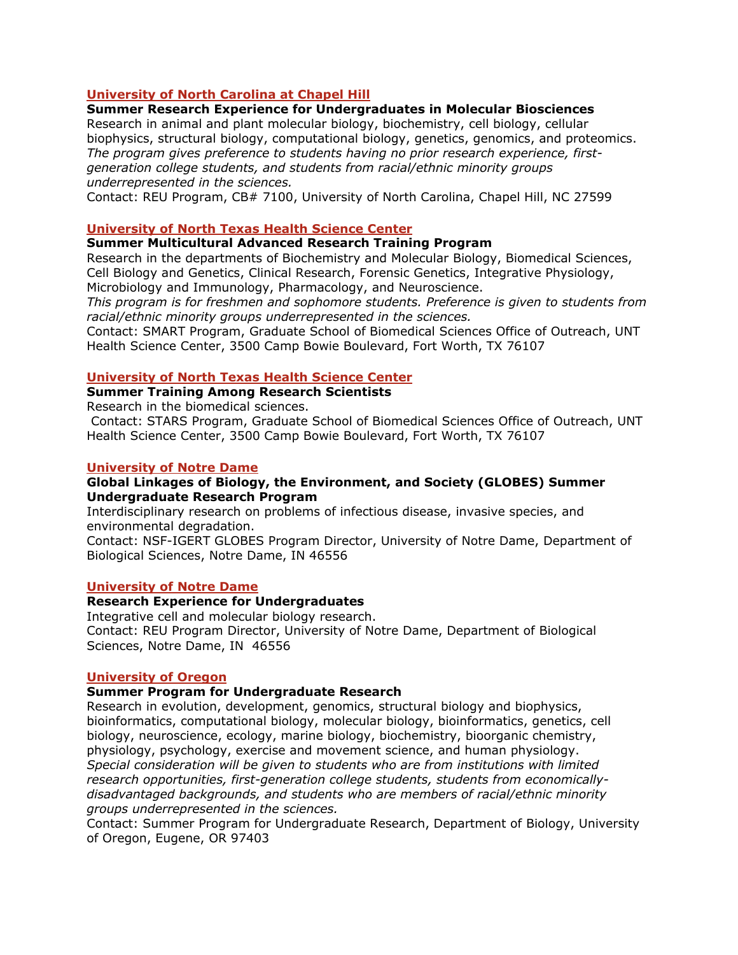## **University of North Carolina at Chapel Hill**

# **Summer Research Experience for Undergraduates in Molecular Biosciences**

Research in animal and plant molecular biology, biochemistry, cell biology, cellular biophysics, structural biology, computational biology, genetics, genomics, and proteomics. *The program gives preference to students having no prior research experience, firstgeneration college students, and students from racial/ethnic minority groups underrepresented in the sciences.*

Contact: REU Program, CB# 7100, University of North Carolina, Chapel Hill, NC 27599

### **University of North Texas Health Science Center**

### **Summer Multicultural Advanced Research Training Program**

Research in the departments of Biochemistry and Molecular Biology, Biomedical Sciences, Cell Biology and Genetics, Clinical Research, Forensic Genetics, Integrative Physiology, Microbiology and Immunology, Pharmacology, and Neuroscience.

*This program is for freshmen and sophomore students. Preference is given to students from racial/ethnic minority groups underrepresented in the sciences.*

Contact: SMART Program, Graduate School of Biomedical Sciences Office of Outreach, UNT Health Science Center, 3500 Camp Bowie Boulevard, Fort Worth, TX 76107

### **University of North Texas Health Science Center**

#### **Summer Training Among Research Scientists**

Research in the biomedical sciences.

 Contact: STARS Program, Graduate School of Biomedical Sciences Office of Outreach, UNT Health Science Center, 3500 Camp Bowie Boulevard, Fort Worth, TX 76107

#### **University of Notre Dame**

### **Global Linkages of Biology, the Environment, and Society (GLOBES) Summer Undergraduate Research Program**

Interdisciplinary research on problems of infectious disease, invasive species, and environmental degradation.

Contact: NSF-IGERT GLOBES Program Director, University of Notre Dame, Department of Biological Sciences, Notre Dame, IN 46556

#### **University of Notre Dame**

#### **Research Experience for Undergraduates**

Integrative cell and molecular biology research. Contact: REU Program Director, University of Notre Dame, Department of Biological Sciences, Notre Dame, IN 46556

#### **University of Oregon**

#### **Summer Program for Undergraduate Research**

Research in evolution, development, genomics, structural biology and biophysics, bioinformatics, computational biology, molecular biology, bioinformatics, genetics, cell biology, neuroscience, ecology, marine biology, biochemistry, bioorganic chemistry, physiology, psychology, exercise and movement science, and human physiology. *Special consideration will be given to students who are from institutions with limited research opportunities, first-generation college students, students from economicallydisadvantaged backgrounds, and students who are members of racial/ethnic minority groups underrepresented in the sciences.*

Contact: Summer Program for Undergraduate Research, Department of Biology, University of Oregon, Eugene, OR 97403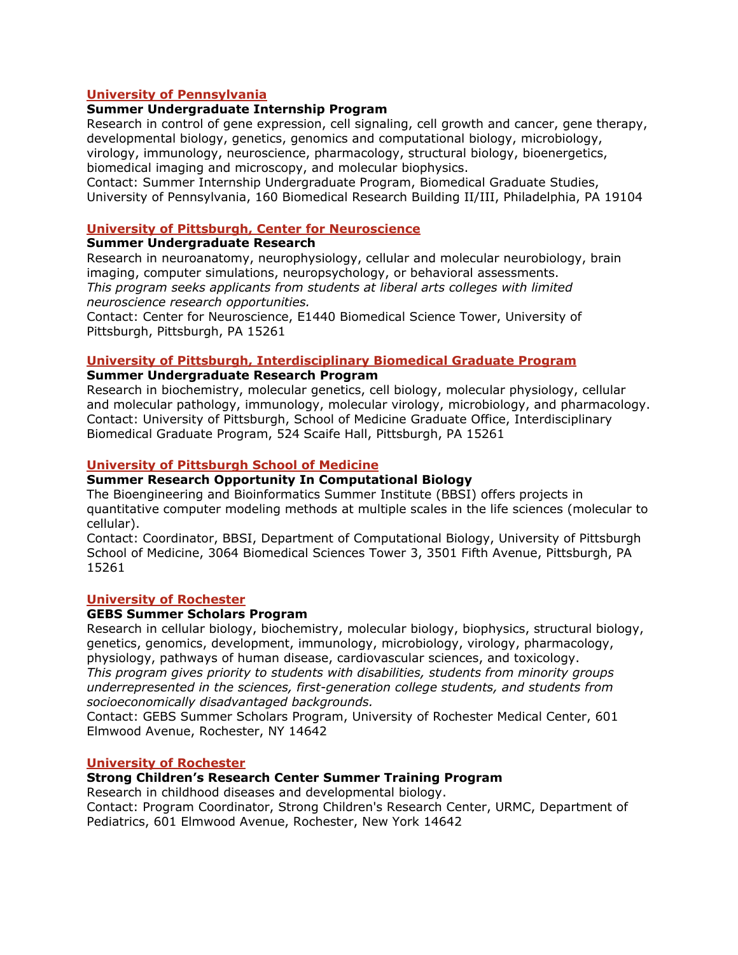## **University of Pennsylvania**

# **Summer Undergraduate Internship Program**

Research in control of gene expression, cell signaling, cell growth and cancer, gene therapy, developmental biology, genetics, genomics and computational biology, microbiology, virology, immunology, neuroscience, pharmacology, structural biology, bioenergetics, biomedical imaging and microscopy, and molecular biophysics.

Contact: Summer Internship Undergraduate Program, Biomedical Graduate Studies, University of Pennsylvania, 160 Biomedical Research Building II/III, Philadelphia, PA 19104

#### **University of Pittsburgh, Center for Neuroscience**

#### **Summer Undergraduate Research**

Research in neuroanatomy, neurophysiology, cellular and molecular neurobiology, brain imaging, computer simulations, neuropsychology, or behavioral assessments. *This program seeks applicants from students at liberal arts colleges with limited neuroscience research opportunities.* 

Contact: Center for Neuroscience, E1440 Biomedical Science Tower, University of Pittsburgh, Pittsburgh, PA 15261

#### **University of Pittsburgh, Interdisciplinary Biomedical Graduate Program**

#### **Summer Undergraduate Research Program**

Research in biochemistry, molecular genetics, cell biology, molecular physiology, cellular and molecular pathology, immunology, molecular virology, microbiology, and pharmacology. Contact: University of Pittsburgh, School of Medicine Graduate Office, Interdisciplinary Biomedical Graduate Program, 524 Scaife Hall, Pittsburgh, PA 15261

### **University of Pittsburgh School of Medicine**

## **Summer Research Opportunity In Computational Biology**

The Bioengineering and Bioinformatics Summer Institute (BBSI) offers projects in quantitative computer modeling methods at multiple scales in the life sciences (molecular to cellular).

Contact: Coordinator, BBSI, Department of Computational Biology, University of Pittsburgh School of Medicine, 3064 Biomedical Sciences Tower 3, 3501 Fifth Avenue, Pittsburgh, PA 15261

#### **University of Rochester**

#### **GEBS Summer Scholars Program**

Research in cellular biology, biochemistry, molecular biology, biophysics, structural biology, genetics, genomics, development, immunology, microbiology, virology, pharmacology, physiology, pathways of human disease, cardiovascular sciences, and toxicology. *This program gives priority to students with disabilities, students from minority groups underrepresented in the sciences, first-generation college students, and students from* 

*socioeconomically disadvantaged backgrounds.*  Contact: GEBS Summer Scholars Program, University of Rochester Medical Center, 601 Elmwood Avenue, Rochester, NY 14642

#### **University of Rochester**

### **Strong Children's Research Center Summer Training Program**

Research in childhood diseases and developmental biology.

Contact: Program Coordinator, Strong Children's Research Center, URMC, Department of Pediatrics, 601 Elmwood Avenue, Rochester, New York 14642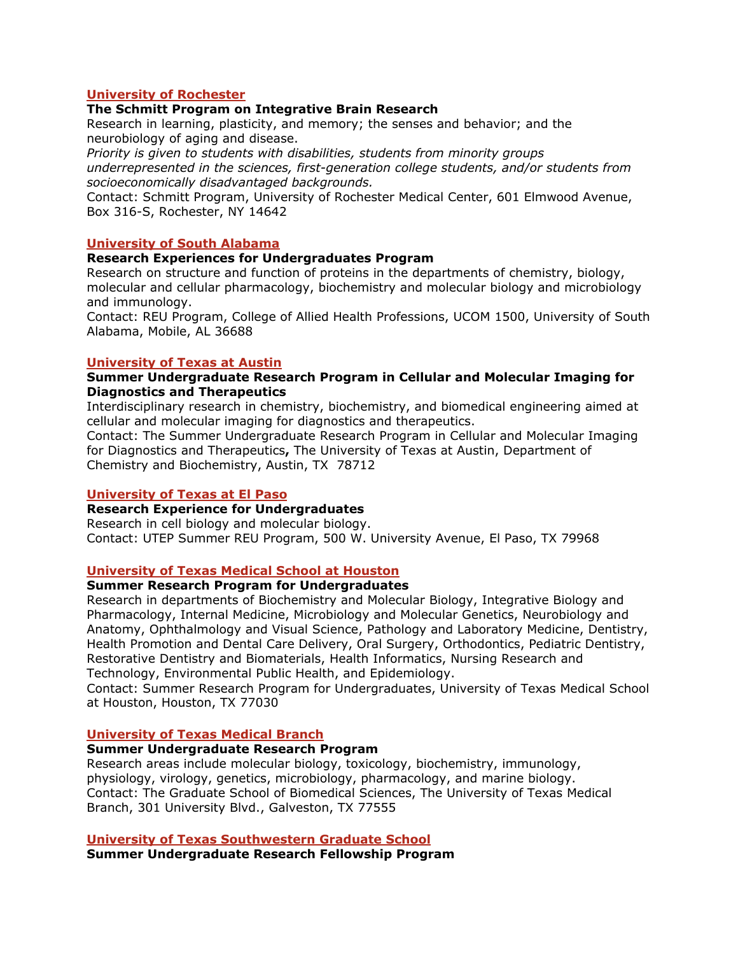## **University of Rochester**

### **The Schmitt Program on Integrative Brain Research**

Research in learning, plasticity, and memory; the senses and behavior; and the neurobiology of aging and disease.

*Priority is given to students with disabilities, students from minority groups underrepresented in the sciences, first-generation college students, and/or students from socioeconomically disadvantaged backgrounds.* 

Contact: Schmitt Program, University of Rochester Medical Center, 601 Elmwood Avenue, Box 316-S, Rochester, NY 14642

#### **University of South Alabama**

### **Research Experiences for Undergraduates Program**

Research on structure and function of proteins in the departments of chemistry, biology, molecular and cellular pharmacology, biochemistry and molecular biology and microbiology and immunology.

Contact: REU Program, College of Allied Health Professions, UCOM 1500, University of South Alabama, Mobile, AL 36688

### **University of Texas at Austin**

### **Summer Undergraduate Research Program in Cellular and Molecular Imaging for Diagnostics and Therapeutics**

Interdisciplinary research in chemistry, biochemistry, and biomedical engineering aimed at cellular and molecular imaging for diagnostics and therapeutics.

Contact: The Summer Undergraduate Research Program in Cellular and Molecular Imaging for Diagnostics and Therapeutics**,** The University of Texas at Austin, Department of Chemistry and Biochemistry, Austin, TX 78712

#### **University of Texas at El Paso**

#### **Research Experience for Undergraduates**

Research in cell biology and molecular biology. Contact: UTEP Summer REU Program, 500 W. University Avenue, El Paso, TX 79968

## **University of Texas Medical School at Houston**

#### **Summer Research Program for Undergraduates**

Research in departments of Biochemistry and Molecular Biology, Integrative Biology and Pharmacology, Internal Medicine, Microbiology and Molecular Genetics, Neurobiology and Anatomy, Ophthalmology and Visual Science, Pathology and Laboratory Medicine, Dentistry, Health Promotion and Dental Care Delivery, Oral Surgery, Orthodontics, Pediatric Dentistry, Restorative Dentistry and Biomaterials, Health Informatics, Nursing Research and Technology, Environmental Public Health, and Epidemiology.

Contact: Summer Research Program for Undergraduates, University of Texas Medical School at Houston, Houston, TX 77030

## **University of Texas Medical Branch**

## **Summer Undergraduate Research Program**

Research areas include molecular biology, toxicology, biochemistry, immunology, physiology, virology, genetics, microbiology, pharmacology, and marine biology. Contact: The Graduate School of Biomedical Sciences, The University of Texas Medical Branch, 301 University Blvd., Galveston, TX 77555

#### **University of Texas Southwestern Graduate School**

**Summer Undergraduate Research Fellowship Program**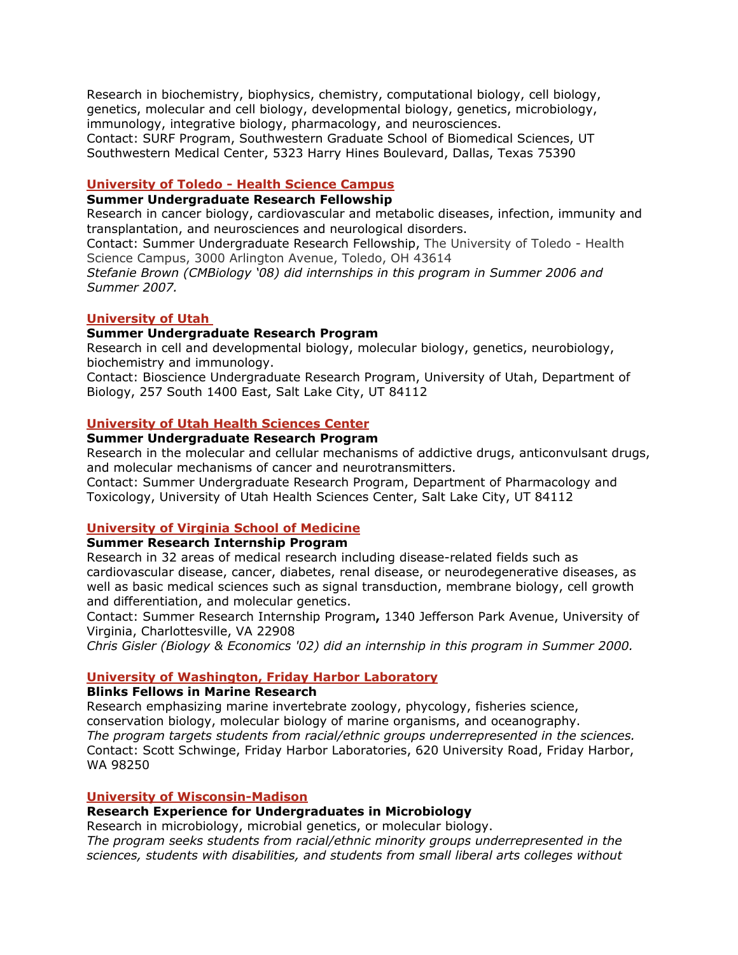Research in biochemistry, biophysics, chemistry, computational biology, cell biology, genetics, molecular and cell biology, developmental biology, genetics, microbiology, immunology, integrative biology, pharmacology, and neurosciences. Contact: SURF Program, Southwestern Graduate School of Biomedical Sciences, UT Southwestern Medical Center, 5323 Harry Hines Boulevard, Dallas, Texas 75390

#### **University of Toledo - Health Science Campus**

### **Summer Undergraduate Research Fellowship**

Research in cancer biology, cardiovascular and metabolic diseases, infection, immunity and transplantation, and neurosciences and neurological disorders.

Contact: Summer Undergraduate Research Fellowship, The University of Toledo - Health Science Campus, 3000 Arlington Avenue, Toledo, OH 43614

*Stefanie Brown (CMBiology '08) did internships in this program in Summer 2006 and Summer 2007.* 

### **University of Utah**

### **Summer Undergraduate Research Program**

Research in cell and developmental biology, molecular biology, genetics, neurobiology, biochemistry and immunology.

Contact: Bioscience Undergraduate Research Program, University of Utah, Department of Biology, 257 South 1400 East, Salt Lake City, UT 84112

#### **University of Utah Health Sciences Center**

## **Summer Undergraduate Research Program**

Research in the molecular and cellular mechanisms of addictive drugs, anticonvulsant drugs, and molecular mechanisms of cancer and neurotransmitters.

Contact: Summer Undergraduate Research Program, Department of Pharmacology and Toxicology, University of Utah Health Sciences Center, Salt Lake City, UT 84112

#### **University of Virginia School of Medicine**

## **Summer Research Internship Program**

Research in 32 areas of medical research including disease-related fields such as cardiovascular disease, cancer, diabetes, renal disease, or neurodegenerative diseases, as well as basic medical sciences such as signal transduction, membrane biology, cell growth and differentiation, and molecular genetics.

Contact: Summer Research Internship Program, 1340 Jefferson Park Avenue, University of Virginia, Charlottesville, VA 22908

*r 2000. Chris Gisler (Biology & Economics '02) did an internship in this program in Summe*

### **University of Washington, Friday Harbor Laboratory**

### **Blinks Fellows in Marine Research**

Research emphasizing marine invertebrate zoology, phycology, fisheries science, conservation biology, molecular biology of marine organisms, and oceanography. *The program targets students from racial/ethnic groups underrepresented in the sciences.* Contact: Scott Schwinge, Friday Harbor Laboratories, 620 University Road, Friday Harbor, WA 98250

### **University of Wisconsin-Madison**

#### **Research Experience for Undergraduates in Microbiology**

Research in microbiology, microbial genetics, or molecular biology.

*The program seeks students from racial/ethnic minority groups underrepresented in the sciences, students with disabilities, and students from small liberal arts colleges without*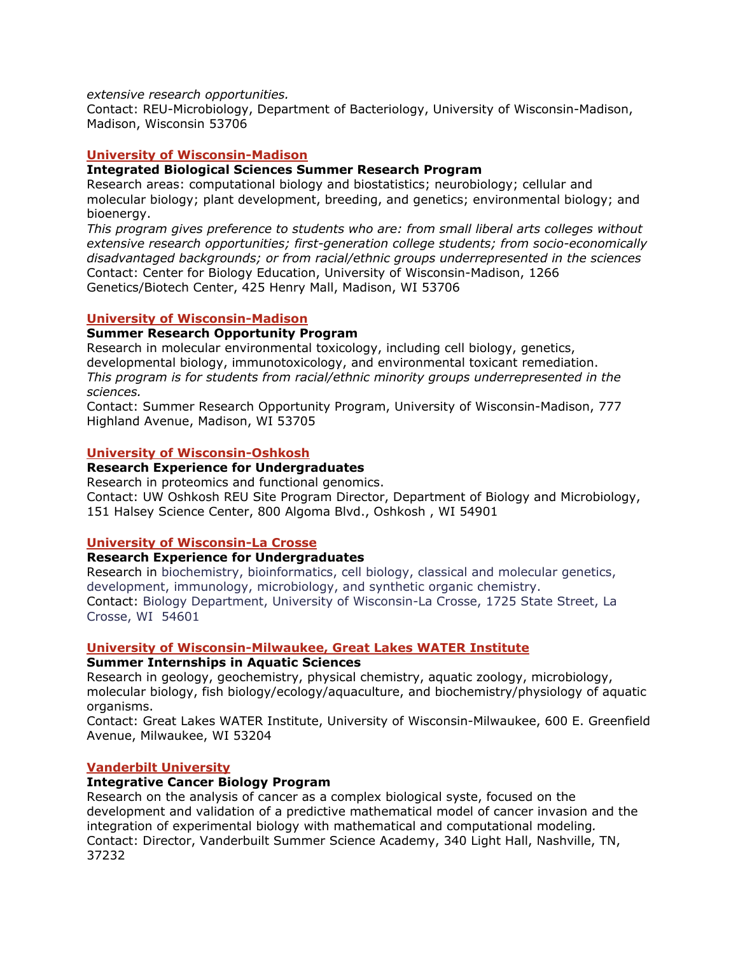#### *extensive research opportunities.*

Contact: REU-Microbiology, Department of Bacteriology, Univers ity of Wisconsin-Madison, Madison, Wisconsin 53706

### **University of Wisconsin-Madison**

#### **Integrated Biological Sciences Summer Research Program**

molecular biology; plant development, breeding, and genetics; environmental biology; and bioenergy. Research areas: computational biology and biostatistics; neurobiology; cellular and

*ents who are: from small liberal arts colleges without This program gives preference to stud from socio-economically extensive research opportunities; first-generation college students;* disadvantaged backgrounds; or from racial/ethnic groups underrepresented in the sciences Genetics/Biotech Center, 425 Henry Mall, Madison, WI 53706 Contact: Center for Biology Education, University of Wisconsin-Madison, 1266

### **University of Wisconsin-Madison**

### **Summer Research Opportunity Program**

Research in molecular environmental toxicology, including cell biology, genetics , developmental biology, immunotoxicology, and environmental toxicant remediation. *This program is for students from racial/ethnic minority groups underrepresented in the sciences.* 

Contact: Summer Research Opportunity Program, University of Wisconsin-Madison, 777 Highland Avenue, Madison, WI 53705

#### **University of Wisconsin-Oshkosh**

#### **Research Experience for Undergraduates**

Research in proteomics and functional genomics.

Contact: UW Oshkosh REU Site Program Director, Department of Biology and Microbiology, 151 Halsey Science Center, 800 Algoma Blvd., Oshkosh , WI 54901

### **University of Wisconsin-La Crosse**

### **Research Experience for Undergraduates**

Research in biochemistry, bioinformatics, cell biology, classical and molecular genetics, development, immunology, microbiology, and synthetic organic chemistry. Contact: Biology Department, University of Wisconsin-La Crosse, 1725 State Street, La Crosse, WI 54601

#### **University of Wisconsin-Milwaukee, Great Lakes WATER Institute**

#### **Summer Internships in Aquatic Sciences**

Research in geology, geochemistry, physical chemistry, aquatic zoology, microbiology, molecular biology, fish biology/ecology/aquaculture, and biochemistry/physiology of aquatic organisms.

Contact: Great Lakes WATER Institute, University of Wisconsin-Milwaukee, 600 E. Greenfield Avenue, Milwaukee, WI 53204

#### **Vanderbilt University**

#### **Integrative Cancer Biology Program**

Research on the analysis of cancer as a complex biological syste, focused on the development and validation of a predictive mathematical model of cancer invasion and the integration of experimental biology with mathematical and computational modeling*.*  Contact: Director, Vanderbuilt Summer Science Academy, 340 Light Hall, Nashville, TN, 37232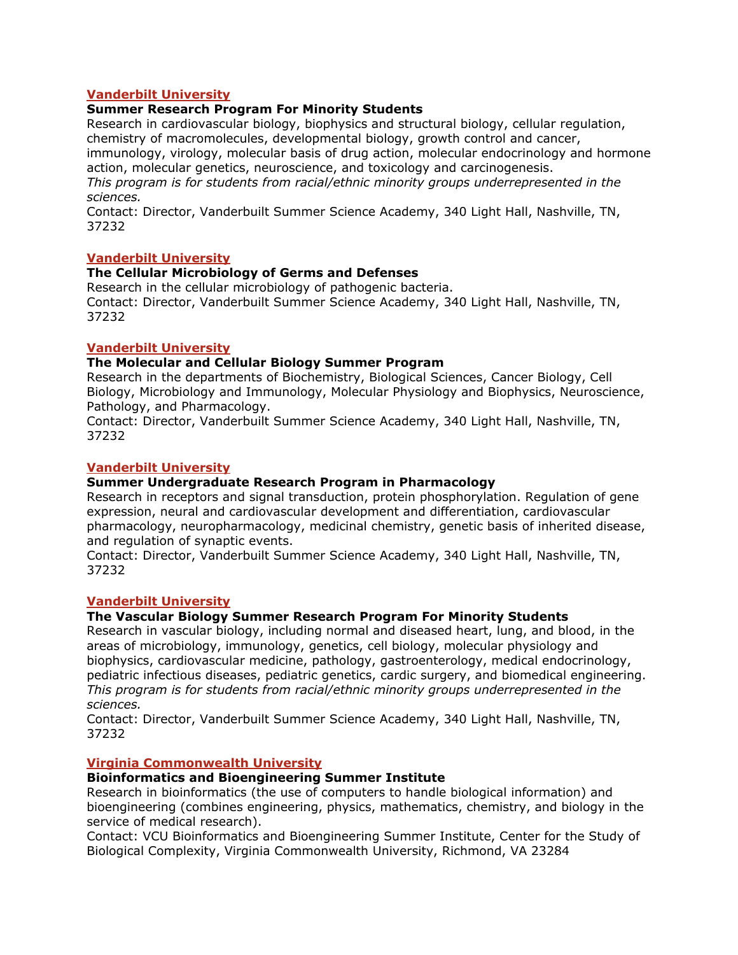# **Vanderbilt University**

# **Summer Research Program For Minority Students**

Research in cardiovascular biology, biophysics and structural biology, cellular regulat ion, chemistry of macromolecules, developmental biology, growth control and cancer,

immuno logy, virology, molecular basis of drug action, molecular endocrinology and hormone action, molecular genetics, neuroscience, and toxicology and carcinogenesis.

*This program is for students from racial/ethnic minority groups underrepresented in the sciences.* 

Contact: Director, Vanderbuilt Summer Science Academy, 340 Light Hall, Nashville, TN, 37232

# **Vanderbilt University**

## **The Cellular Microbiology of Germs and Defenses**

Research i n the cellular microbiology of pathogenic bacteria. Contact: Director, Vanderbuilt Summer Science Academy, 340 Light Hall, Nashville, TN, 37232

# **Vanderbilt University**

# **The Molecular and Cellular Biology Summer Progra m**

Research in the departments of Biochemistry, Biological Scien ces, Cancer Biology, Cell Biology, Microbiology and Immunology, Molecular Physiology and Biophysics, Neuroscien ce, Patholo gy, and Pharmacology.

Contact: Director, Vanderbuilt Summer Science Academy, 340 Light Hall, Nashville, TN, 37232

# **Vanderbilt University**

# **Summer Undergraduate Research Program in Pharmacology**

Research in receptors and signal transduction, protein phosphorylation. Regulation of gene expression, neural and cardiovascular development and differentiation, cardiovascular pharma cology, neuropharmacology, medicinal chemistry, genetic basis of inherited disease, and regulation of synaptic events.

Contact: Director, Vanderbuilt Summer Science Academy, 340 Light Hall, Nashville, TN, 37232

## **Vanderbilt University**

# **The Vascular Biology Summer Research Program For Minority Students**

Research in vascular biology, including normal and diseased heart, lung, and blood, in the areas of microbiology, immunology, genetics, cell biology, molecular physiology and biophys ics, cardiovascular medicine, pathology, gastroenterology, medical endocrinology, pediatric infectious diseases, pediatric genetics, cardic surgery, and biomedical engineering. *This program is for students from racial/ethnic minority groups underrepresented in the sciences.* 

Contact: Director, Vanderbuilt Summer Science Academy, 340 Light Hall, Nashville, TN, 37232

## **Virginia Commonwealth University**

## **Bioinformatics and Bioengineering Summer Institute**

Research i n bioinformatics (the use of computers to handle biological information) and bioengineering (combines engineering, physics, mathematics, chemistry, and biology in t he service of medical research).

C ontact: VCU Bioinformatics and Bioengineering Summer Institute, Center for the Study of Biological Complexity, Virginia Common wealth University, Richmond, VA 23284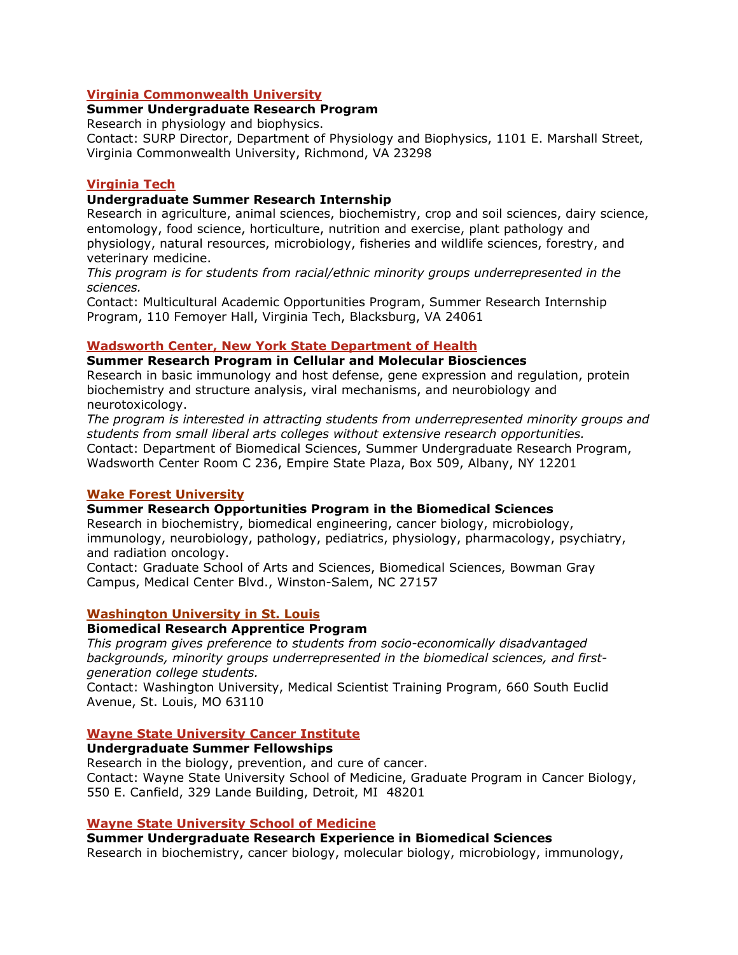## **Virginia Commonwealth University**

### **Summer Undergraduate Research Program**

Research in physiology and biophysics.

Contact: SURP Director, Department of Physiology and Biophysics, 1101 E. Marshall Street, Virginia Commonwealth University, Richmond, VA 23298

## **Virginia Tech**

## **Undergraduate Summer Research Internship**

Research in agriculture, animal sciences, biochemistry, crop and soil sciences, dairy science, entomology, food science, horticulture, nutrition and exercise, plant pathology and physiology, natural resources, microbiology, fisheries and wildlife sciences, forestry, and veterinary medicine.

*This program is for students from racial/ethnic minority groups underrepresented in the sciences.* 

Contact: Multicultural Academic Opportunities Program, Summer Research Internship Program, 110 Femoyer Hall, Virginia Tech, Blacksburg, VA 24061

### **Wadsworth Center, New York State Department of Health**

**Summer Research P rogram in Cellular and Molecular Biosciences**

Research in basic immunology and host defense, gene expression and regulation, protein biochemist ry and structure analysis, viral mechanisms, and neurobiology and neurotoxicology.

The program is interested in attracting students from underrepresented minority groups and *s tudents from small liberal arts colleges without extensive research opportunities.*  Contact: Department of Biomedical Sciences, Summer Undergrad uate Research Program, Wadsworth Center Room C 236, Empire State Plaza, Box 509, Albany, NY 12201

## **Wake Forest University**

#### **Summer Resear ch Opportunities Program in the Biomedical Sciences**

Research in biochemistry, biomedical engineering, cancer biology, microbiology, immunology, neurobiology, pathology, pediatrics, physiology, pharmacology, psych iatry, and radiation oncology.

Contact: Graduate School of Arts and Sciences, Biomedical Sciences, Bowman Gra y Campus, Medical Center Blvd., Winston-Salem, NC 27157

## **Washington University in St. Louis**

### **Biomedical Research Apprentice Program**

*This program gives preference to students from socio-economically disadvantaged*  backgrounds, minority groups underrepresented in the biomedical sciences, and first*generation college students.* 

Contact: Washington University, Medical Scientist Training P rogram, 660 South Euclid Avenue, St. Louis, MO 63110

## **Wayne State University Cancer Institute**

#### **Undergraduate Summer Fellowships**

Research in the biology, prevention, and cure of cancer. Contact: Wayne State University School of Medicine, Graduate Program in Cancer Biology, 550 E. Canfield, 329 Lande Building, Detroit, MI 48201

#### **Wayne State University School of Medicine**

Summer Undergraduate Research Experience in Biomedical Sciences Research in biochemistry, cancer biology, molecular biology, microbiology, immunology,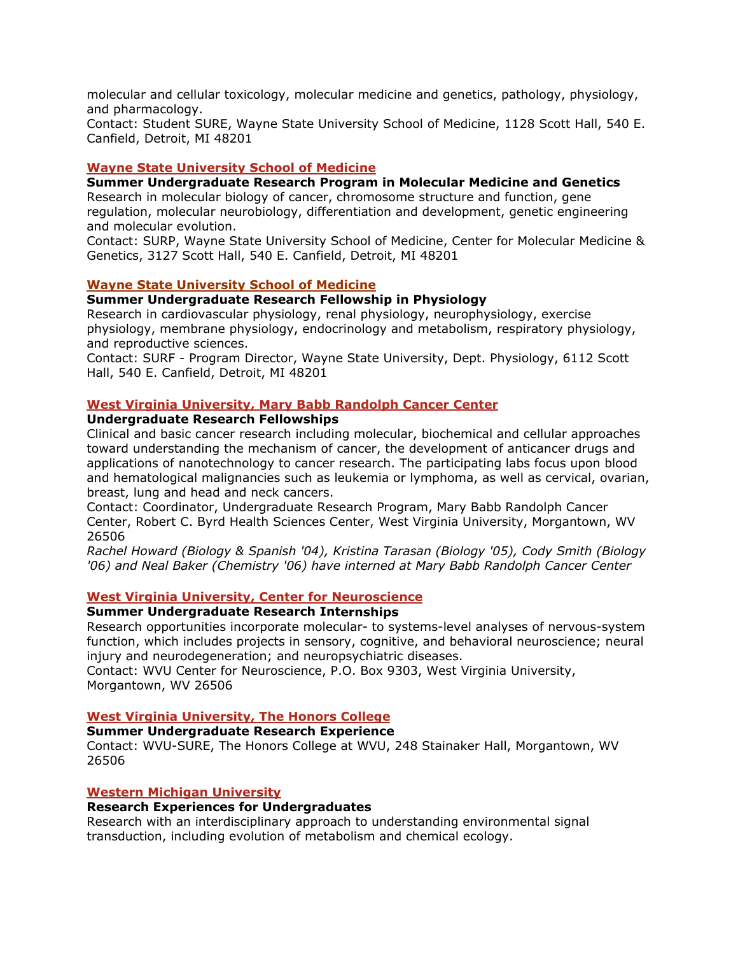molecular and cellular toxicology, molecu lar medicine and genetics, pathology, physiology, and pharmacology.

Contact: Student SURE, Wayne State University School of Medicine, 1128 Scott Hall, 540 E. Canfield, Detroit, MI 48201

### **Wayne State University School of Medicine**

### **Summer Undergraduate Research Program in Molecular Medicine and Genetics**

Research in molecular biology of cancer, chromosome structure and function, gene regulation, molecular neurobiology, differentiation and development, genetic engineering and molecular evolu tion.

Contact: SURP, Wayne State University School of Medicine, Center for Molecular Medicine & Genetics, 3127 Scott Hall, 54 0 E. Canfield, Detroit, MI 48201

### **Wayne State University School of Medicine**

### **Summer Undergraduate Research Fellowship in Physiology**

Research in cardiovascular physiology, renal physiology, neurophysiology, exercise physiology, membrane physiology, endocrinology and metabolism, respiratory physiology, and reproductive sciences .

Contact: SURF - Program Director, Wayne State University, Dept. Physiology, 6112 Scott Hall, 540 E. Canfield, Detroit, MI 48201

### **West Virginia University, Mary Babb Randolph Cancer Center**

### **Undergraduate Research Fellowships**

Clinical and basic cancer research including molecular, biochemical and cellular approaches applications of nanotechnology to cancer research. The participating labs focus upon blood and hematological malignancies such as leukemia or lymphoma, as well as cervical, ovarian, toward understanding the mechanism of cancer, the development of anticancer drugs and breast, lung and head and neck cancers.

Contact: Coordinator, Undergraduate Research Program, Mary Babb Randolph Cancer Center, Robert C. Byrd Health Sciences Center, West Virginia University, Morgantown, WV 26506

*Rachel Howard (Biology & Spanish '04), Kristina Tarasan (Biology '05), Cody Smith (Biology '06) and Neal Baker (Chemistry '06) have interned at Mary Babb Randolph Cancer Center*

# **West Virginia University, Center for Neuroscience**

#### **Summer Undergraduate Research Int ernships**

Research opportunities incorporate molecular- to systems-level analyses of nervous-sy stem function, which includes projects in sensory, cognitive, and behavioral neuroscience; neural injury a nd neurodegeneration; and neuropsychiatric diseases.

Contact: WVU Center for Neuroscience, P.O. Box 9303, West Virginia University, Morgantown, WV 26506

## **West Virginia University, The Honors College**

#### **Summer Undergraduate Research Experience**

Contact: WVU-SURE, The Honors College at WVU, 248 Stainaker Hall, Morgantown, WV 26506

#### **Western Michigan University**

#### **Research Experiences for Undergraduates**

Research with an interdisciplinary approach to understanding environmental signal transduction, including evolution of metabolism and chemical ecology.